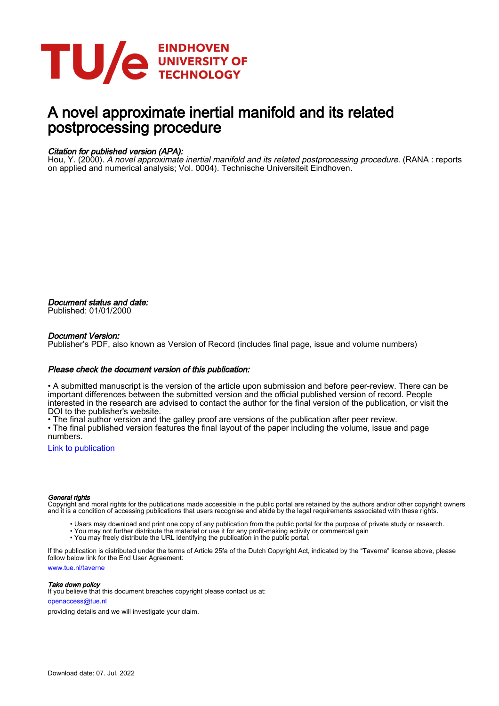

# A novel approximate inertial manifold and its related postprocessing procedure

## Citation for published version (APA):

Hou, Y. (2000). A novel approximate inertial manifold and its related postprocessing procedure. (RANA : reports on applied and numerical analysis; Vol. 0004). Technische Universiteit Eindhoven.

Document status and date: Published: 01/01/2000

## Document Version:

Publisher's PDF, also known as Version of Record (includes final page, issue and volume numbers)

## Please check the document version of this publication:

• A submitted manuscript is the version of the article upon submission and before peer-review. There can be important differences between the submitted version and the official published version of record. People interested in the research are advised to contact the author for the final version of the publication, or visit the DOI to the publisher's website.

• The final author version and the galley proof are versions of the publication after peer review.

• The final published version features the final layout of the paper including the volume, issue and page numbers.

[Link to publication](https://research.tue.nl/en/publications/9b19f9c5-2c35-4a67-b941-d0bdfdb64ceb)

### General rights

Copyright and moral rights for the publications made accessible in the public portal are retained by the authors and/or other copyright owners and it is a condition of accessing publications that users recognise and abide by the legal requirements associated with these rights.

- Users may download and print one copy of any publication from the public portal for the purpose of private study or research.
- You may not further distribute the material or use it for any profit-making activity or commercial gain
- You may freely distribute the URL identifying the publication in the public portal.

If the publication is distributed under the terms of Article 25fa of the Dutch Copyright Act, indicated by the "Taverne" license above, please follow below link for the End User Agreement:

www.tue.nl/taverne

**Take down policy**<br>If you believe that this document breaches copyright please contact us at:

openaccess@tue.nl

providing details and we will investigate your claim.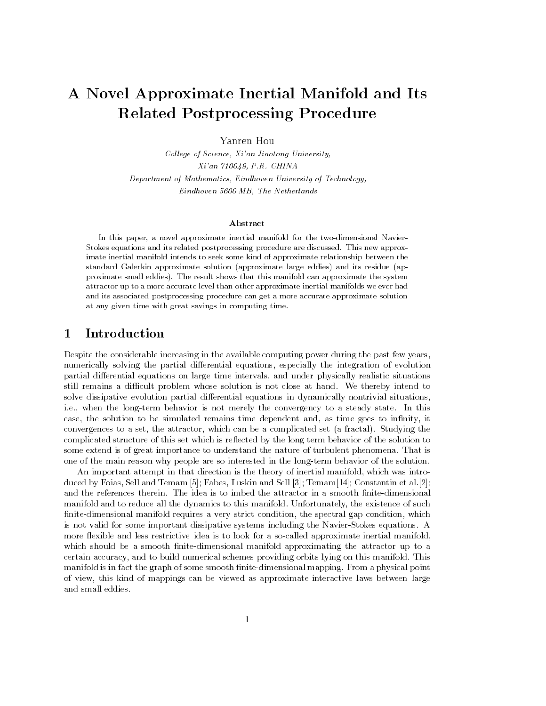# A Novel Approximate Inertial Manifold and Its Related Postprocessing Procedure

Yanren Hou

Col lege of Science- Xian Jiaotong Universityin a contract the contract of the contract of the contract of the contract of the contract of the contract of er a processe of the measurement of measurement of the contract of the Chemical State of the University of Tech Eindhoven and the Netherlands and The Netherlands and The Netherlands and The Netherlands and The Netherlands

### Abstract

In this paper- a novel approximate inertial manifold for the twodimensional NavierStokes equations and its related postprocessing procedure are discussed. This new approximate inertial manifold intends to seek some kind of approximate relationship between thestandard Galerkin approximate solution (approximate large eddies) and its residue (approximate small eddies). The result shows that this manifold can approximate the system attractor up to a more accurate level than other approximate inertial manifolds we ever hadand its associated postprocessing procedure can get a more accurate approximate solutionat any given time with great savings in computing time

#### $\mathbf 1$ Introduction

Despite the considerable increasing in the available computing power during the past few years. rumerically solving the partial dimensions-uppertially the integrations-section of evolution of the integratio partial dierential equations on large time intervals- and under physically realistic situations still remains a difficult problem whose solution is not close at hand. We thereby intend to solve dissipative evolution partial differential equations in dynamically nontrivial situations, ie- when the longterm behavior is not merely the convergency to a steady state In this case-the solution to be solution to be solution to be simulated remains time goes to innity-time goes to innityconverges to a set-fractal can be attractor- which can be a complicated set a fractal set a fractal studying t complication structure of this set which is referred by the religion term behavior of the solution to some extend is of great importance to understand the nature of turbulent phenomena That is one of the main reason why people are so interested in the long-term behavior of the solution.

An important attempt in that direction is the theory of inertial manifold- which was intro and the Foias- Sell and Temam and Temam and Temam and Sell and Sell and Sell and Sell and Sell and Tempers and the references therein. The idea is to imbed the attractor in a smooth finite-dimensional manifold and to reduce all the dynamics to this manifold Unfortunately- the existence of such nitedimensional manifold requires a very strict condition- the spectral gap condition- which is not valid for some important dissipative systems including the Navier-Stokes equations. A more exible and less restrictive idea is to look for a socalled approximate inertial manifoldwhich should be a smooth finite-dimensional manifold approximating the attractor up to a certain accuracy-tain accuracy-tain accuracy-tain accuracy-tain accuracy-tain accuracy-tain accuracy-tain accuracymanifold is in fact the graph of some smooth finite-dimensional mapping. From a physical point of view- this kind of mappings can be viewed as approximate interactive laws between large and small eddies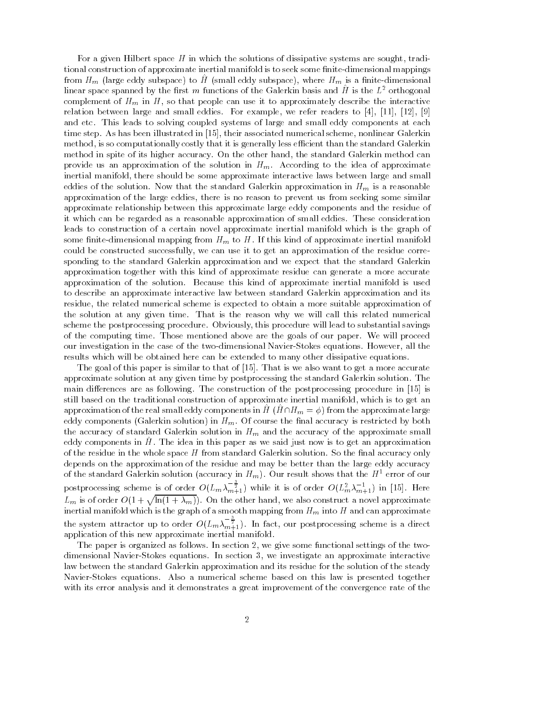For a given Hilbert space H in which the solutions of dissipative systems are sought- tradi tional construction of approximate inertial manifold is to seek some finite-dimensional mappings from  $H_m$  (farge eddy subspace) to  $H$  (sinall eddy subspace), where  $H_m$  is a nifte-dimensional linear space spanned by the first  $m$  functions of the Galerkin basis and  $H$  is the  $L^\ast$  orthogonal complement of Hm in H-so that people can use it to approximately described the interaction of the interaction o relation between large and small eddies For example-to-the-to-the-to-the-to-the-to-the-to-the-to-the-to-the-toand etc This leads to solving coupled systems of large and small eddy components at each time step As has been illustrated in 
- their associated numerical scheme- nonlinear Galerkin method- is so computationally costly that it is generally less ecient than the standard Galerkin method in spite of its higher accuracy On the other hand- the standard Galerkin method can provide us an approximation of the solution in  $H_m$ . According to the idea of approximate interactive interactive, there show a proximate interactive lateractive large and smaller and smaller and small eddies of the solution. Now that the standard Galerkin approximation in  $H_m$  is a reasonable approximation of the large eddies, include is no reason to prevent us from section, we have seeking approximate relationship between this approximate large eddy components and the residue of it which can be regarded as a reasonable approximation of small eddies These consideration leads to construction of a certain novel approximate inertial manifold which is the graph of some finite-dimensional mapping from  $H<sub>m</sub>$  to H. If this kind of approximate inertial manifold could be constructed successfully- we can use it to get an approximation of the residue corre sponding to the standard Galerkin approximation and we expect that the standard Galerkin approximation together with this kind of approximate residue can generate a more accurate approximation of the solution. Because this kind of approximate inertial manifold is used to describe an approximate interactive law between standard Galerkin approximation and its residue- the related numerical scheme is expected to obtain a more suitable approximation of the solution at any given time. That is the reason why we will call this related numerical scheme the postprocessing procedure obviously-this procedure will lead to substantial savings of the computing time. Those mentioned above are the goals of our paper. We will proceed our investigation in the case of the two disc minimensions is the two equations however, and the the results which will be obtained here can be extended to many other dissipative equations

The goal of this paper is similar to that of  $[15]$ . That is we also want to get a more accurate approximate solution at any given time by postprocessing the standard Galerkin solution The main differences are as following. The construction of the postprocessing procedure in  $[15]$  is still based on the traditional construction of approximate inertial manifold- which is to get an approximation of the real small eddy components in  $H(H \cap H_m = \phi)$  from the approximate large eddy components (Galerkin solution) in  $H_m$ . Of course the final accuracy is restricted by both the accuracy of standard Galerkin solution in  $H_m$  and the accuracy of the approximate small eddy components in  $H$ . The idea in this paper as we said just now is to get an approximation of the residue in the whole space  $H$  from standard Galerkin solution. So the final accuracy only depends on the approximation of the residue and may be better than the large eddy accuracy of the standard Galerkin solution (accuracy in  $H_m$ ). Our result shows that the  $H$  - error of our postprocessing scheme is of order  $O(L_m \lambda_{m+1}^{-\frac{1}{2}})$  while it is of order  $O(L_m^2 \lambda_{m+1}^{-1})$  in [15]. Here  $L_m$  is of order  $O(1+\sqrt{\ln(1+\lambda_m)})$ . On the other hand, we also construct a novel approximate inertial manifold which is the graph of a smooth mapping from  $H_m$  into  $H$  and can approximate the system attractor up to order  $O(L_m \lambda_{m+1}^{-\frac{1}{2}})$ . In fact, our postprocessing scheme is a direct application of this new approximate inertial manifold

The paper is organized as follows In section - we give some functional settings of the two dimensional NavierStokes equations In section - we investigate an approximate interactive law between the standard Galerkin approximation and its residue for the solution of the steady Navier-Stokes equations. Also a numerical scheme based on this law is presented together with its error analysis and it demonstrates a great improvement of the convergence rate of the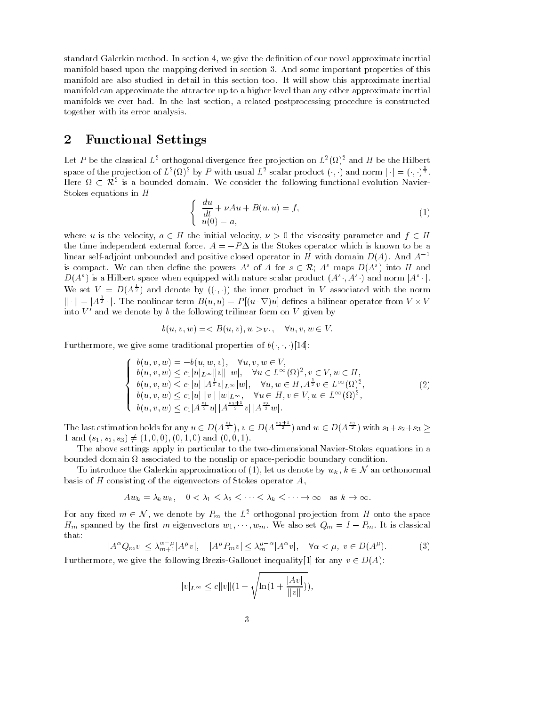standard Galerica method In section - provided approximate intertion of our novel approximation of our novel manifold based upon the mapping derived in section 3. And some important properties of this manifold are also studied in detail in this section too It will show this approximate inertial manifold can approximate the attractor up to a higher level than any other approximate inertial manifolds we ever had In the last section- a related postprocessing procedure is constructed together with its error analysis

#### $\overline{2}$ Functional Settings

Let  $P$  be the classical  $L^+$  orthogonal divergence free projection on  $L^+ (M)^-$  and  $H$  be the Hilbert  $\,$ space of the projection of  $L^2(\Omega)^2$  by P with usual  $L^2$  scalar product  $(\cdot, \cdot)$  and norm  $|\cdot| = (\cdot, \cdot)^{\frac{1}{2}}$ . Let *P* be the class<br>space of the proje<br>Here  $\Omega \subset \mathcal{R}^2$  is Here  $\Omega \subset \mathbb{R}^2$  is a bounded domain. We consider the following functional evolution Navier-Stokes equations in H

$$
\begin{cases}\n\frac{du}{dt} + \nu Au + B(u, u) = f, \\
u(0) = a,\n\end{cases}
$$
\n(1)

where u is the velocity,  $a \in H$  the initial velocity,  $\nu > 0$  the viscosity parameter and  $f \in H$ the time independent external force.  $A = -P\Delta$  is the Stokes operator which is known to be a linear self-adjoint unbounded and positive closed operator in H with domain  $D(A)$ . And  $A^{-1}$ the time independent external force.  $A = -P\Delta$  is the Stokes operator which is known to be a<br>linear self-adjoint unbounded and positive closed operator in H with domain  $D(A)$ . And  $A^{-1}$ <br>is compact. We can then define the  $D(A<sup>s</sup>)$  is a Hilbert space when equipped with nature scalar product  $(A<sup>s</sup> \cdot , A<sup>s</sup> \cdot )$  and norm  $|A<sup>s</sup> \cdot |$ .  $\frac{1}{d}$ <br>| We set  $V = D(A^{\frac{1}{2}})$  and denote by  $((\cdot, \cdot))$  the inner product in V associated with the norm  $\|\cdot\| = |A^{\frac{1}{2}}\cdot|.$  ' filbert space when equipped with nature scalar product  $(A^s \cdot, A^s \cdot)$  and norm  $|A^s \cdot|$ .<br>  $D(A^{\frac{1}{2}})$  and denote by  $((\cdot, \cdot))$  the inner product in V associated with the norm<br>
|. The nonlinear term  $B(u, u) = P[(u \cdot \nabla)u]$  into  $V$  -and we denote by  $\mathfrak b$  the following trilinear form on  $V$  given by  $\hspace{0.1mm}$ 

$$
b(u, v, w) = \langle B(u, v), w \rangle \langle v', \quad \forall u, v, w \in V.
$$

Furthermore, we give some traditional properties of 
$$
b(\cdot, \cdot, \cdot)[14]
$$
:\n\n
$$
\begin{cases}\n b(u, v, w) = -b(u, w, v), \quad \forall u, v, w \in V, \\
 b(u, v, w) \leq c_1 |u|_{L^{\infty}} ||v|| |w|, \quad \forall u \in L^{\infty}(\Omega)^2, v \in V, w \in H, \\
 b(u, v, w) \leq c_1 |u| |A^{\frac{1}{2}}v|_{L^{\infty}} |w|, \quad \forall u, w \in H, A^{\frac{1}{2}}v \in L^{\infty}(\Omega)^2, \\
 b(u, v, w) \leq c_1 |u| ||v|| |w|_{L^{\infty}}, \quad \forall u \in H, v \in V, w \in L^{\infty}(\Omega)^2, \\
 b(u, v, w) \leq c_1 |A^{\frac{s_1}{2}}u| |A^{\frac{s_2+1}{2}}v| |A^{\frac{s_3}{2}}w|\n\end{cases} (2)
$$

The last estimation holds for any  $u \in D(A^{\frac{2+1}{2}}), v \in D(A^{\frac{2+1}{2}})$  and  $w \in D(A^{\frac{2}{2}})$  with  $s_1+s_2+s_3 >$ 1 and  $(s_1, s_2, s_3) \neq (1, 0, 0), (0, 1, 0)$  and  $(0, 0, 1)$ .

The above settings apply in particular to the two-dimensional Navier-Stokes equations in a bounded domain  $\Omega$  associated to the nonslip or space-periodic boundary condition. The above settings apply in particular to the two-dimensional Navier-Stokes equations in a<br>inded domain  $\Omega$  associated to the nonslip or space-periodic boundary condition.<br>To introduce the Galerkin approximation of (1),

basis of H consisting of the eigenvectors of Stokes operator A-For of Stokes operator A,<br>  $\langle \lambda_2 \langle \cdots \langle \lambda_k \rangle \rangle \rightarrow$  $\alpha_k, \kappa \in \mathbb{N}$  and  $k \to \infty$ .

$$
Aw_k = \lambda_k w_k, \quad 0 < \lambda_1 \leq \lambda_2 \leq \cdots \leq \lambda_k \leq \cdots \to \infty \quad \text{as } k \to \infty.
$$

 $Aw_k = \lambda_k w_k$ ,  $0 < \lambda_1 \leq \lambda_2 \leq \cdots \leq \lambda_k \leq \cdots \to \infty$  as  $k \to \infty$ .<br>For any fixed  $m \in \mathcal{N}$ , we denote by  $P_m$  the  $L^2$  orthogonal projection from H onto the space  $H_m$  spanned by the first m eigenvectors  $w_1, \dots, w_m$ . We also set  $Q_m = I - P_m$ . It is classical<br>that:<br> $|A^{\alpha}Q_mv| \leq \lambda_{m+1}^{\alpha-\mu}|A^{\mu}v|, \quad |A^{\mu}P_mv| \leq \lambda_m^{\mu-\alpha}|A^{\alpha}v|, \quad \forall \alpha \leq \mu, v \in D(A^{\mu}).$  (3) that

$$
|A^{\alpha}Q_{m}v| \leq \lambda_{m+1}^{\alpha-\mu}|A^{\mu}v|, \quad |A^{\mu}P_{m}v| \leq \lambda_{m}^{\mu-\alpha}|A^{\alpha}v|, \quad \forall \alpha < \mu, \ v \in D(A^{\mu}). \tag{3}
$$

Furthermore, we give the following Brezis-Gallouet inequality [1] for any  $v \in D(A)$ :

$$
|v|_{L^{\infty}} \le c||v|| (1 + \sqrt{\ln(1 + \frac{|Av|}{||v||})}),
$$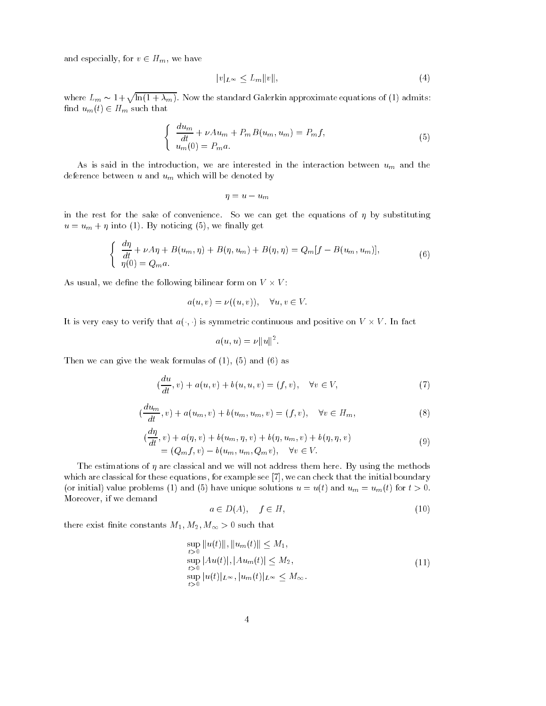and especially, for  $v \in H_m$ , we have

$$
|v|_{L^{\infty}} \le L_m \|v\|,\tag{4}
$$

where  $L_m \sim 1 + \sqrt{\ln(1 + \lambda_m)}$ . Now the standard Galerkin approximate equations of (1) admits: find  $u_m(t) \in H_m$  such that

$$
\begin{cases}\n\frac{du_m}{dt} + \nu Au_m + P_m B(u_m, u_m) = P_m f, \\
u_m(0) = P_m a.\n\end{cases} \tag{5}
$$

... we are in the interaction- we are interested in the interaction attachment  $\mathbf{w}_{Hk}$  and the deference between  $u$  and  $u_m$  which will be denoted by

$$
\eta = u - u_m
$$

in the rest for the sake of convenience. So we can get the equations of  $\eta$  by substituting where we not also we not we not we have a second of the second state of the second state of the second state o

$$
\begin{cases}\n\frac{d\eta}{dt} + \nu A\eta + B(u_m, \eta) + B(\eta, u_m) + B(\eta, \eta) = Q_m[f - B(u_m, u_m)],\\ \n\eta(0) = Q_m a.\n\end{cases} \tag{6}
$$

As usual, we define the following bilinear form on  $V \times V$ :

$$
a(u, v) = \nu((u, v)), \quad \forall u, v \in V.
$$

It is very easy to verify that  $a(\cdot, \cdot)$  is symmetric continuous and positive on  $V \times V$ . In fact

$$
a(u, u) = \nu ||u||^2.
$$

Then we can give the weak formulas of (1), (5) and (6) as

$$
(\frac{du}{dt}, v) + a(u, v) + b(u, u, v) = (f, v), \quad \forall v \in V,
$$
\n
$$
(7)
$$

$$
(\frac{du_m}{dt}, v) + a(u_m, v) + b(u_m, u_m, v) = (f, v), \quad \forall v \in H_m,
$$
\n(8)

$$
\begin{aligned} \n(\frac{d\eta}{dt}, v) + a(\eta, v) + b(u_m, \eta, v) + b(\eta, u_m, v) + b(\eta, \eta, v) \\
&= (Q_m f, v) - b(u_m, u_m, Q_m v), \quad \forall v \in V. \n\end{aligned} \tag{9}
$$

The estimations of  $\eta$  are classical and we will not address them here. By using the methods which are classical for these equations-place completely for the initial boundary constraint the initial boundary (or initial) value problems (1) and (5) have unique solutions  $u = u(t)$  and  $u_m = u_m(t)$  for  $t > 0$ . Moreover- if we demand

$$
a \in D(A), \quad f \in H,\tag{10}
$$

there exist nite constants  $\mathbf{u}$  and  $\mathbf{w}$  are existent to the constant of  $\mathbf{u}$ 

$$
M_2, M_{\infty} > 0 \text{ such that}
$$
  
\n
$$
\sup_{t>0} ||u(t)||, ||u_m(t)|| \le M_1,
$$
  
\n
$$
\sup_{t>0} |Au(t)|, |Au_m(t)| \le M_2,
$$
  
\n
$$
\sup_{t>0} |u(t)|_{L^{\infty}}, |u_m(t)|_{L^{\infty}} \le M_{\infty}.
$$
\n(11)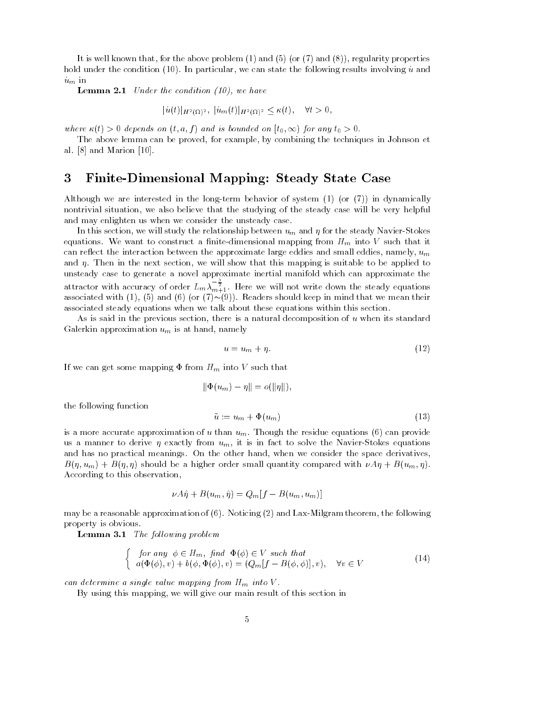. It is well above that for the above the problem  $\{x_i\}$  and  $\{x_i\}$  and  $\{x_i\}$  and  $\{x_i\}$  properties are hold under the condition  $\mathcal{S}$  are particularly the following results involving results involving to and a  $\mathbf{u}$  in  $\mathbf{u}$ 

Lemma - Under the condition - we have

$$
|u(t)|_{H^2(\Omega)^2}, |u_m(t)|_{H^2(\Omega)^2} \le \kappa(t), \quad \forall t > 0,
$$

where  $\kappa(t) > 0$  depends on  $(t, a, f)$  and is bounded on  $[t_0, \infty)$  for any  $t_0 > 0$ .

The above lemma can be proved- for example- by combining the techniques in Johnson et al.  $[8]$  and Marion  $[10]$ .

# 3 Finite-Dimensional Mapping: Steady State Case

Although we are interested in the long-term behavior of system  $(1)$  (or  $(7)$ ) in dynamically nontrivial situation- we also believe that the studying of the steady case will be very helpful and may enlighten us when we consider the unsteady case

In this section-we will study the relation-steady the relationship between understanding  $\mathcal{N}$ equations. We want to construct a finite-dimensional mapping from  $H_m$  into V such that it can reference the interaction between the approximate large edies and small edies. In the small ediesand in the next section- we will show the next section- we will show that the suitable to be applied to be applied to be applied to be applied to be applied to be applied to be applied to be applied to be applied to be app unsteady case to generate a novel approximate inertial manifold which can approximate the attractor with accuracy of order  $L_m \lambda_{m+1}^{-\frac{1}{2}}$ . Here we will not write down the steady equations associated with (1), (5) and (6) (or  $(7) \sim (9)$ ). Readers should keep in mind that we mean their associated steady equations when we talk about these equations within this section

As is said in the previous section- there is a natural decomposition of u when its standard Galerkin approximation um is at hand- namely

$$
u = u_m + \eta. \tag{12}
$$

If we can get some mapping  $\Phi$  from  $H_m$  into V such that

$$
\|\Phi(u_m) - \eta\| = o(\|\eta\|),
$$

the following function

$$
\tilde{u} := u_m + \Phi(u_m) \tag{13}
$$

is a more accurate approximation of u than  $u_m$ . Though the residue equations (6) can provide where the  $\mathcal{U}$  is in fact to solve the NavierStockes equations equations equations equations equations equations equations equations experience the NavierStockes equations equations equations equations equations equat and has no practical meanings On the other hand- when we consider the space derivatives- $B(\eta, u_m) + B(\eta, \eta)$  should be a higher order small quantity compared with  $\nu A \eta + B(u_m, \eta)$ According to this observation,

$$
\nu A\hat{\eta} + B(u_m, \hat{\eta}) = Q_m[f - B(u_m, u_m)]
$$

may be a reasonable approximation of Noticing and LaxMilgram theorem- the following property is obvious

**Lemma 3.1** The following problem

$$
\begin{cases}\nfor any \phi \in H_m, find \Phi(\phi) \in V such that \\
a(\Phi(\phi), v) + b(\phi, \Phi(\phi), v) = (Q_m[f - B(\phi, \phi)], v), \quad \forall v \in V\n\end{cases}
$$
\n(14)

can determine a single value mapping from  $H_m$  into  $V$ .

. By using this mapping, we will give our minim result of this section in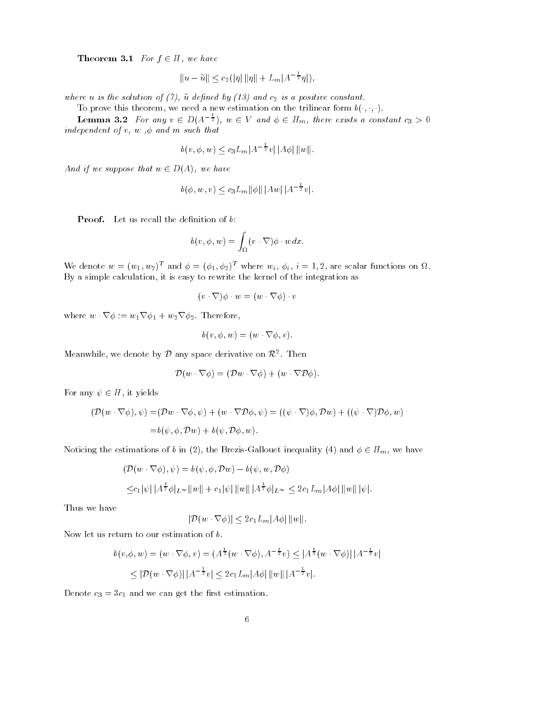**Theorem 3.1** For  $f \in H$ , we have

$$
H, we have
$$
  
 $||u - \tilde{u}|| \le c_2 (|\eta| ||\eta|| + L_m |A^{-\frac{1}{2}}\eta|),$ 

where  $\alpha$  is the solution of  $\alpha$  is a positive constant of  $\alpha$  is a positive constant of

To prove this theorem, we need a new estimation on the trilinear form  $b(\cdot, \cdot, \cdot)$ .

**Lemma 3.2** For any  $v \in D(A^{-\frac{1}{2}})$ ,  $w \in V$  and  $\phi \in H_m$ , there exists a constant  $c_3 > 0$ independent of via and minute that we such that  $v||A\phi||$  $\vert \ \Vert w \Vert.$ 

$$
b(v, \phi, w) \le c_3 L_m |A^{-\frac{1}{2}}v| |A\phi| ||w||
$$

And if we suppose that  $w \in D(A)$ , we have

$$
(A), we have
$$
  
 $b(\phi, w, v) \leq c_3 L_m ||\phi|| |Aw| |A^{-\frac{1}{2}}v|.$ 

**Proof.** Let us recall the definition of  $b$ :

$$
\begin{aligned} \text{finition of } b: \\ b(v, \phi, w) &= \int_{\Omega} (v \cdot \nabla) \phi \cdot w dx. \end{aligned}
$$

We denote  $w = (w_1, w_2)$  and  $\varphi = (\varphi_1, \varphi_2)$  where  $w_i, \varphi_i$ ,  $i = 1, 2$ , are scalar functions on  $\Omega$ . By a simple calculation- it is easy to rewrite the kernel of the integration as ewrite the kernel of the series of the series of the  $\nabla$   $\phi \cdot w = (w \cdot \nabla \phi) \cdot w$ 

$$
(v \cdot \nabla)\phi \cdot w = (w \cdot \nabla \phi) \cdot v
$$

 $\label{eq:2.1} (v\cdot\nabla)\phi\cdot w$  where  $w\cdot\nabla\phi:=w_1\nabla\phi_1+w_2\nabla\phi_2.$  Therefore,

Therefore,  

$$
b(v, \phi, w) = (w \cdot \nabla \phi, v).
$$

Meanwhile, we denote by  ${\cal D}$  any space derivative on  ${\cal R}^2$  . Then sace derivative on  $\mathcal{R}$ <br>  $\nabla \phi$  =  $(\mathcal{D}w \cdot \nabla \phi)$  +

any space derivative on 
$$
\mathcal{R}^2
$$
. Then  
\n
$$
\mathcal{D}(w \cdot \nabla \phi) = (\mathcal{D}w \cdot \nabla \phi) + (w \cdot \nabla \mathcal{D} \phi).
$$

For any  $\psi \in H$ , it yields *I*, it yi $\nabla \phi$ ). *i* 

$$
y \psi \in H, \text{ it yields}
$$
  
\n
$$
(\mathcal{D}(w \cdot \nabla \phi), \psi) = (\mathcal{D}w \cdot \nabla \phi, \psi) + (w \cdot \nabla \mathcal{D} \phi, \psi) = ((\psi \cdot \nabla)\phi, \mathcal{D}w) + ((\psi \cdot \nabla)\mathcal{D}\phi, w)
$$
  
\n
$$
= b(\psi, \phi, \mathcal{D}w) + b(\psi, \mathcal{D}\phi, w).
$$

Noticing the estimations of b in (2), the Brezis-Gallouet inequality (4) and  $\phi \in H_m$ , we have ons of  $t$ <br>V $\phi$ ).  $\psi$ 

$$
\begin{aligned} (\mathcal{D}(w \cdot \nabla \phi), \psi) &= b(\psi, \phi, \mathcal{D}w) - b(\psi, w, \mathcal{D}\phi) \\ \leq & c_1 |\psi| \, |A^{\frac{1}{2}} \phi|_{L^\infty} \|w\| + c_1 |\psi| \, \|w\| \, |A^{\frac{1}{2}} \phi|_{L^\infty} \leq 2c_1 L_m |A\phi| \, \|w\| \, |\psi|. \end{aligned}
$$

Thus we have

$$
|\mathcal{D}(w \cdot \nabla \phi)| \leq 2c_1 L_m |A\phi| ||w||.
$$

mation $\nabla \phi, v$ 

return to our estimation of 
$$
b
$$
.

\n
$$
b(v, \phi, w) = (w \cdot \nabla \phi, v) = (A^{\frac{1}{2}}(w \cdot \nabla \phi), A^{-\frac{1}{2}}v) \le |A^{\frac{1}{2}}(w \cdot \nabla \phi)| |A^{-\frac{1}{2}}v|
$$
\n
$$
\leq |\mathcal{D}(w \cdot \nabla \phi)| |A^{-\frac{1}{2}}v| \leq 2c_1 L_m |A\phi| ||w|| |A^{-\frac{1}{2}}v|.
$$

and we can get the rest can get the rest construction of the rest of the rest of the rest of the rest of the r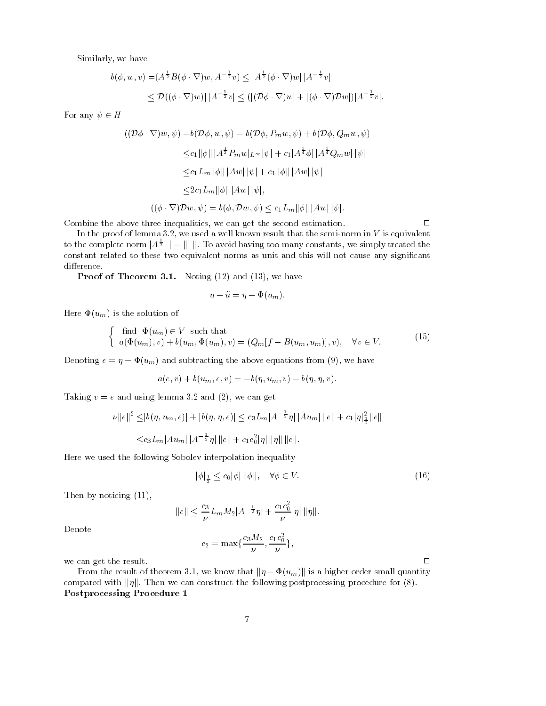we have have the second three controls of the second second second second second second second second second s

y, we have  
\n
$$
b(\phi, w, v) = (A^{\frac{1}{2}}B(\phi \cdot \nabla)w, A^{-\frac{1}{2}}v) \le |A^{\frac{1}{2}}(\phi \cdot \nabla)w||A^{-\frac{1}{2}}v|
$$
\n
$$
\le |\mathcal{D}((\phi \cdot \nabla)w)||A^{-\frac{1}{2}}v| \le (|(\mathcal{D}\phi \cdot \nabla)w| + |(\phi \cdot \nabla)\mathcal{D}w|)|A^{-\frac{1}{2}}v|.
$$

For any  $\psi \in H$ 

$$
\begin{aligned} \left( (\mathcal{D}\phi \cdot \nabla)w, \psi \right) &= b(\mathcal{D}\phi, w, \psi) = b(\mathcal{D}\phi, P_m w, \psi) + b(\mathcal{D}\phi, Q_m w, \psi) \\ &\leq & c_1 \|\phi\| \, |A^{\frac{1}{2}} P_m w|_{L^\infty} |\psi| + c_1 |A^{\frac{3}{4}} \phi| \, |A^{\frac{3}{4}} Q_m w| \, |\psi| \\ &\leq & c_1 L_m \|\phi\| \, |Aw| \, |\psi| + c_1 \|\phi\| \, |Aw| \, |\psi| \\ &\leq & 2c_1 L_m \|\phi\| \, |Aw| \, |\psi|, \\ \left( (\phi \cdot \nabla) \mathcal{D}w, \psi \right) &= b(\phi, \mathcal{D}w, \psi) \leq c_1 L_m \|\phi\| \, |Aw| \, |\psi|. \end{aligned}
$$

commission that the above the second estimation is the second estimate continuation of the second estimation of

mbine the above three inequalities, we can get the second estimation.  $\Box$ <br>In the proof of lemma 3.2, we used a well known result that the semi-norm in V is equivalent to the complete norm  $A^{\frac{1}{2}} \cdot = \|\cdot\|$ . To avoid having too many constants, we simply treated the constant related to these two equivalent norms as unit and this will not cause any signicant difference.

Proof of Theorem Noting and - we have

$$
u - \tilde{u} = \eta - \Phi(u_m).
$$

Here  $\Phi(u_m)$  is the solution of

$$
\begin{cases} \text{ find } \Phi(u_m) \in V \text{ such that} \\ a(\Phi(u_m), v) + b(u_m, \Phi(u_m), v) = (Q_m[f - B(u_m, u_m)], v), \quad \forall v \in V. \end{cases}
$$
 (15)

Denoting  $e = \eta - \Phi(u_m)$  and subtracting the above equations from (9), we have

$$
a(e, v) + b(u_m, e, v) = -b(\eta, u_m, v) - b(\eta, \eta, v).
$$

Taking v e and using lemma and - we can get

$$
|e| \text{ and using lemma 3.2 and (2), we can get}
$$
\n
$$
\nu \|e\|^2 \le |b(\eta, u_m, e)| + |b(\eta, \eta, e)| \le c_3 L_m |A^{-\frac{1}{2}} \eta| |Au_m| \|e\| + c_1 |\eta|_{\frac{1}{2}}^2 \|e\|
$$
\n
$$
\le c_3 L_m |Au_m| |A^{-\frac{1}{2}} \eta| \|e\| + c_1 c_0^2 |\eta| \| \eta\| \|e\|.
$$

Here we used the following Sobolev interpolation inequality tion in<mark>e</mark><br>المال

$$
|\phi|_{\frac{1}{2}} \leq c_0 |\phi| \, ||\phi||, \quad \forall \phi \in V. \tag{16}
$$

Then by noticing  $(11)$ ,

$$
||e|| \leq \frac{c_3}{\nu} L_m M_2 |A^{-\frac{1}{2}} \eta| + \frac{c_1 c_0^2}{\nu} |\eta| ||\eta||.
$$

Denote

$$
c_2 = \max\{\frac{c_3 M_2}{\nu}, \frac{c_1 c_0^2}{\nu}\},\,
$$

we can get the result.  $\Box$ 

From the result of theorem 3.1, we know that  $\|\eta - \Phi(u_m)\|$  is a higher order small quantity compared with  $\|\eta\|$ . Then we can construct the following postprocessing procedure for  $(8)$ . Postprocessing Procedure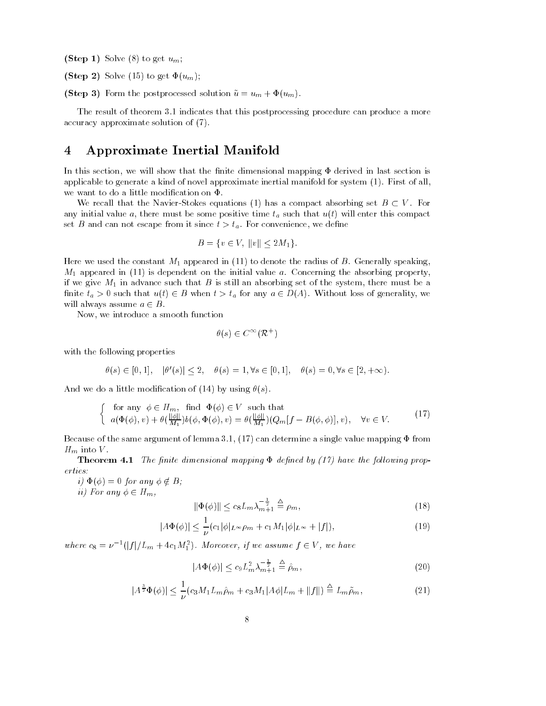(Step 1) Solve  $(8)$  to get  $u_m$ ;

Step - Solve  to get um 

(Step 3) Form the postprocessed solution  $\tilde{u} = u_m + \Phi(u_m)$ .

The result of theorem 3.1 indicates that this postprocessing procedure can produce a more accuracy approximate solution of  $(7)$ .

#### Approximate Inertial Manifold 4

In this section- we will show that the nite dimensional map  $\mathbb{P}$  is a section in last section in last section is applicable to generate a kind of novel approximate inertial manifold for system  $(1)$ . First of all, we want to do a little modification on  $\Phi$ .

We recall that the Navier-Stokes equations (1) has a compact absorbing set  $B \subset V$ . For any initial value of initial must be some positive that  $u$  such that utbecompact that utility that  $\sim$ set B and can not escape from it since typique to convenience, we denote since  $t > t_a$ . For convenies<br>  $B = \{v \in V, ||v|| < 2M_1\}$ 

$$
B = \{ v \in V, ||v|| \le 2M_1 \}.
$$

here we used the constant M- in provided in  $\{xx\}$  is denote the radius of B Generally speakingme appeared in  $\{x \mid x \in I\}$  is dependent on the initial value at a concerning the absorbing propertyif we give m-p in advance such that B is still an absorbing set of the system-present must be a finite  $t_a > 0$  such that  $u(t) \in B$  when  $t > t_a$  for any  $a \in D(A)$ . Without loss of generality, we will always assume  $a \in B$ .

Now- we introduce a smooth function

$$
\theta(s) \in C^{\infty}(\mathcal{R}^+)
$$

with the following properties

allowing properties  
\n
$$
\theta(s) \in [0, 1], \quad |\theta'(s)| \le 2, \quad \theta(s) = 1, \forall s \in [0, 1], \quad \theta(s) = 0, \forall s \in [2, +\infty).
$$

And we do a little modification of (14) by using  $\theta(s)$ .

$$
\begin{cases}\n\text{for any } \phi \in H_m, \text{ find } \Phi(\phi) \in V \text{ such that} \\
a(\Phi(\phi), v) + \theta(\frac{||\phi||}{M_1})b(\phi, \Phi(\phi), v) = \theta(\frac{||\phi||}{M_1})(Q_m[f - B(\phi, \phi)], v), \quad \forall v \in V.\n\end{cases}
$$
\n(17)

Because of the same argument of lemma - can determine a single value mapping from  $H_m$  into V.

Theorem The nite dimensional mapping dened by - have the fol lowing prop erties

 $i) \Phi(\phi) = 0$  for any  $\phi \notin B$ ; ii) For any  $\phi \in H_m$ ,

$$
\|\Phi(\phi)\| \le c_8 L_m \lambda_{m+1}^{-\frac{1}{2}} \stackrel{\triangle}{=} \rho_m,
$$
\n(18)

$$
\|\Phi(\phi)\| \le c_8 L_m \lambda_{m+1}^{-\frac{2}{2}} \stackrel{\triangle}{=} \rho_m,
$$
\n
$$
|A\Phi(\phi)| \le \frac{1}{\nu} (c_1|\phi|_{L^\infty} \rho_m + c_1 M_1 |\phi|_{L^\infty} + |f|),
$$
\n(19)

where  $c_8 = \nu^{-1}(|f|/L_m + 4c_1M_1^2)$ . Moreover, if we assume  $f \in V$ , we have<br> $|A\Phi(\phi)| \leq c_9 L_m^2 \lambda_{m+1}^{-\frac{1}{2}} \triangleq \hat{\rho}_m$ ,

$$
|A\Phi(\phi)| \le c_9 L_m^2 \lambda_{m+1}^{-\frac{1}{2}} \triangleq \hat{\rho}_m,\tag{20}
$$

$$
|A\Phi(\phi)| \le c_9 L_m^2 \lambda_{m+1}^2 = \rho_m,
$$
\n
$$
|A^{\frac{3}{2}}\Phi(\phi)| \le \frac{1}{\nu} (c_3 M_1 L_m \hat{\rho}_m + c_3 M_1 |A\phi| L_m + ||f||) \stackrel{\triangle}{=} L_m \tilde{\rho}_m,
$$
\n(21)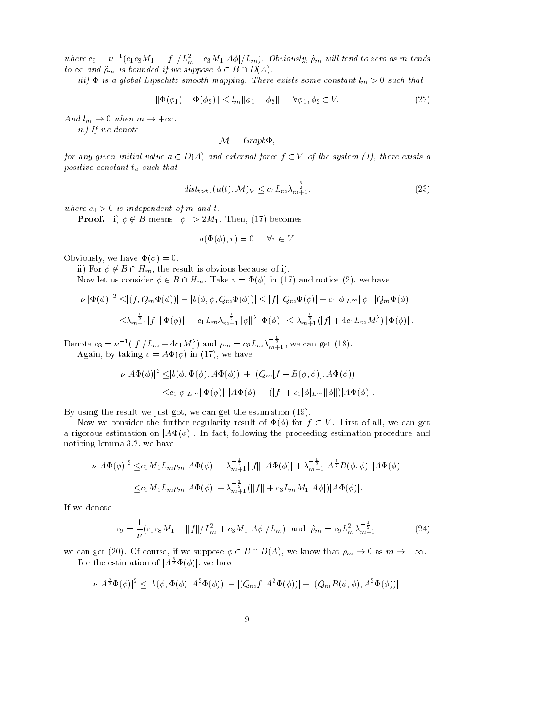where  $c_9 = \nu^{-1} (c_1 c_8 M_1 + ||f||/L_m^2 + c_3 M_1 |\phi|/L_m)$ . Obviously,  $\hat{\rho}_m$  will tend to zero as m tends to  $\infty$  and  $\tilde{\rho}_m$  is bounded if we suppose  $\phi \in B \cap D(A)$ .

iii is a global Lipschitz smooth mapping There exists some constant lm such that mapping.<br>  $\|k\| \leq l_m \|\phi\|$ 

$$
\|\Phi(\phi_1) - \Phi(\phi_2)\| \le l_m \|\phi_1 - \phi_2\|, \quad \forall \phi_1, \phi_2 \in V. \tag{22}
$$

And  $l_m \to 0$  when  $m \to +\infty$ .

iv) If we denote

$$
\mathcal{M} = Graph\Phi,
$$

for any given initial value  $a \in D(A)$  and external force  $f \in V$  of the system (1), there exists a positive constant  $t_a$  such that

$$
dist_{t>t_a}(u(t), \mathcal{M})_V \le c_4 L_m \lambda_{m+1}^{-\frac{3}{2}},\tag{23}
$$

where  $c_4 > 0$  is independent of m and t.

**Proof.** i)  $\phi \notin B$  means  $\|\phi\| > 2M_1$ . Then, (17) becomes

$$
a(\Phi(\phi), v) = 0, \quad \forall v \in V.
$$

obviousne en la contrattura de la contrattura de la contrattura de la contrattura de la contrattura de la contr

ii) For  $\phi \notin B \cap H_m$ , the result is obvious because of i).

Now let us consider  $\phi \in B \cap H_m$ . Take  $v = \Phi(\phi)$  in (17) and notice (2), we have

Now let us consider 
$$
\phi \in B \cap H_m
$$
. Take  $v = \Phi(\phi)$  in (17) and notice (2), we have  
\n
$$
\nu ||\Phi(\phi)||^2 \le |(f, Q_m \Phi(\phi))| + |b(\phi, \phi, Q_m \Phi(\phi))| \le |f| |Q_m \Phi(\phi)| + c_1 |\phi|_{L^{\infty}} ||\phi|| |Q_m \Phi(\phi)|
$$
\n
$$
\le \lambda_{m+1}^{-\frac{1}{2}} |f| ||\Phi(\phi)|| + c_1 L_m \lambda_{m+1}^{-\frac{1}{2}} ||\phi||^2 ||\Phi(\phi)|| \le \lambda_{m+1}^{-\frac{1}{2}} (|f| + 4c_1 L_m M_1^2) ||\Phi(\phi)||.
$$

Denote  $c_8 = \nu^{-1}(|f|/L_m + 4c_1M_1^2)$  and  $\rho_m = c_8L_m\lambda_{m+1}^{-\frac{1}{2}}$ , we can get (18). again-by taking v A-mail and the state of the state of the state of the state of the state of the state of th

$$
\nu |A\Phi(\phi)|^2 \leq |b(\phi, \Phi(\phi), A\Phi(\phi))| + |(Q_m[f - B(\phi, \phi)], A\Phi(\phi))|
$$
  

$$
\leq c_1 |\phi|_{L^{\infty}} ||\Phi(\phi)|| |A\Phi(\phi)| + (|f| + c_1 |\phi|_{L^{\infty}} ||\phi||) |A\Phi(\phi)|.
$$

By using the result we just got- we can get the estimation 

Now we consider the further regularity result of  $\Phi(\phi)$  for  $f \in V$ . First of all, we can get a rigorous estimation on  $|A\Phi(\phi)|$ . In fact, following the proceeding estimation procedure and noticing concerned and more complete.

g lemma 3.2, we have  
\n
$$
\nu |A\Phi(\phi)|^2 \leq c_1 M_1 L_m \rho_m |A\Phi(\phi)| + \lambda_{m+1}^{-\frac{1}{2}} ||f|| |A\Phi(\phi)| + \lambda_{m+1}^{-\frac{1}{2}} |A^{\frac{1}{2}}B(\phi, \phi)| |A\Phi(\phi)|
$$
\n
$$
\leq c_1 M_1 L_m \rho_m |A\Phi(\phi)| + \lambda_{m+1}^{-\frac{1}{2}} (||f|| + c_3 L_m M_1 |A\phi|) |A\Phi(\phi)|.
$$

If we denote

$$
c_9 = \frac{1}{\nu} (c_1 c_8 M_1 + ||f|| / L_m^2 + c_3 M_1 |A\phi| / L_m) \text{ and } \hat{\rho}_m = c_9 L_m^2 \lambda_{m+1}^{-\frac{1}{2}}, \tag{24}
$$

we can get (20). Of course, if we suppose  $\phi \in B \cap D(A)$ , we know that  $\hat{\rho}_m \to 0$  as  $m \to +\infty$ .<br>For the estimation of  $|A^{\frac{3}{2}}\Phi(\phi)|$ , we have  $\frac{1}{2}\Phi(\phi)$ , we have

the estimation of 
$$
|A^{\frac{3}{2}}\Phi(\phi)|
$$
, we have  
\n
$$
\nu |A^{\frac{3}{2}}\Phi(\phi)|^2 \le |b(\phi, \Phi(\phi), A^2\Phi(\phi))| + |(Q_m f, A^2\Phi(\phi))| + |(Q_m B(\phi, \phi), A^2\Phi(\phi))|.
$$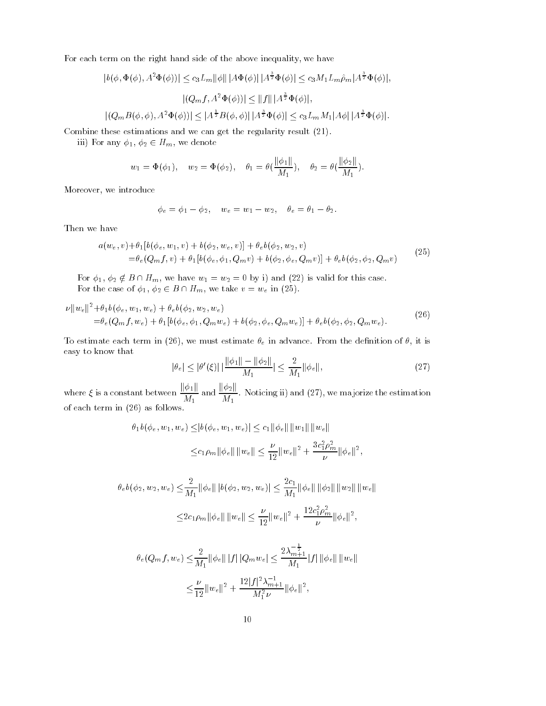For each term on the right hand side of the above inequality- we have

term on the right hand side of the above inequality, we have  
\n
$$
|b(\phi, \Phi(\phi), A^2\Phi(\phi))| \leq c_3 L_m \|\phi\| |A\Phi(\phi)| |A^{\frac{3}{2}}\Phi(\phi)| \leq c_3 M_1 L_m \hat{\rho}_m |A^{\frac{3}{2}}\Phi(\phi)|,
$$
\n
$$
|(Q_m f, A^2 \Phi(\phi))| \leq ||f|| |A^{\frac{3}{2}}\Phi(\phi)|,
$$
\n
$$
|(Q_m B(\phi, \phi), A^2 \Phi(\phi))| \leq |A^{\frac{1}{2}}B(\phi, \phi)| |A^{\frac{3}{2}}\Phi(\phi)| \leq c_3 L_m M_1 |A\phi| |A^{\frac{3}{2}}\Phi(\phi)|.
$$

Combine these estimations and we can get the regularity result  $(21)$ .

iii) For any  $\phi_1, \phi_2 \in H_m$ , we denote

$$
w_1 = \Phi(\phi_1), \quad w_2 = \Phi(\phi_2), \quad \theta_1 = \theta(\frac{\|\phi_1\|}{M_1}), \quad \theta_2 = \theta(\frac{\|\phi_2\|}{M_1}).
$$

More over the control of the control of the control of the control of the control of the control of the control of the control of the control of the control of the control of the control of the control of the control of th

$$
\phi_e = \phi_1 - \phi_2, \quad w_e = w_1 - w_2, \quad \theta_e = \theta_1 - \theta_2.
$$

Then we have

$$
a(w_e, v) + \theta_1[b(\phi_e, w_1, v) + b(\phi_2, w_e, v)] + \theta_e b(\phi_2, w_2, v) = \theta_e(Q_m f, v) + \theta_1[b(\phi_e, \phi_1, Q_m v) + b(\phi_2, \phi_e, Q_m v)] + \theta_e b(\phi_2, \phi_2, Q_m v)
$$
(25)

For  $\phi_1, \phi_2 \notin B \cap H_m$ , we have  $w_1 = w_2 = 0$  by i) and (22) is valid for this case. For the case of  $\phi_1, \phi_2 \in B \cap H_m$ , we take  $v = w_e$  in (25).

$$
\nu \|w_e\|^2 + \theta_1 b(\phi_e, w_1, w_e) + \theta_e b(\phi_2, w_2, w_e) \n= \theta_e(Q_m f, w_e) + \theta_1 [b(\phi_e, \phi_1, Q_m w_e) + b(\phi_2, \phi_e, Q_m w_e)] + \theta_e b(\phi_2, \phi_2, Q_m w_e).
$$
\n(26)

To estimate each term in (20), we must estimate  $v_e$  in advance. From the denition of v, it is<br>easy to know that<br> $|\theta_e| < |\theta'(\xi)| \cdot |\frac{||\phi_1|| - ||\phi_2||}{||\phi_1||} < \frac{2}{\sqrt{2}} ||\phi_e||.$  (27) easy to know that

$$
|\theta_e| \le |\theta'(\xi)| \left| \frac{\|\phi_1\| - \|\phi_2\|}{M_1} \right| \le \frac{2}{M_1} \|\phi_e\|,\tag{27}
$$

where  $\xi$  is a constant between  $\frac{\|\phi_1\|}{\sigma}$ ka ku M and  $\frac{\|\phi_2\|}{\|S\|}$ . N M-  $\alpha$  . We may not may be a set of the estimation of the estimation  $\alpha$ of each term in  $(26)$  as follows.  $,w_e$ <sub>)</sub>  $| < c_1$   $\|\phi_e\|$  $\|e\| \|w_1\| \|$  $\| \|w_e\|$ 

$$
\theta_1 b(\phi_e, w_1, w_e) \le |b(\phi_e, w_1, w_e)| \le c_1 ||\phi_e|| ||w_1|| ||w_e||
$$
  

$$
\le c_1 \rho_m ||\phi_e|| ||w_e|| \le \frac{\nu}{12} ||w_e||^2 + \frac{3c_1^2 \rho_m^2}{\nu} ||\phi_e||^2,
$$

$$
= 12^{\frac{m}{2} + \frac{m}{2} + \frac{m}{2} + \frac{m}{2} + \frac{m}{2} + \frac{m}{2} + \frac{m}{2} + \frac{m}{2} + \frac{m}{2} + \frac{m}{2} + \frac{m}{2} + \frac{m}{2} + \frac{m}{2} + \frac{m}{2} + \frac{m}{2} + \frac{m}{2} + \frac{m}{2} + \frac{m}{2} + \frac{m}{2} + \frac{m}{2} + \frac{m}{2} + \frac{m}{2} + \frac{m}{2} + \frac{m}{2} + \frac{m}{2} + \frac{m}{2} + \frac{m}{2} + \frac{m}{2} + \frac{m}{2} + \frac{m}{2} + \frac{m}{2} + \frac{m}{2} + \frac{m}{2} + \frac{m}{2} + \frac{m}{2} + \frac{m}{2} + \frac{m}{2} + \frac{m}{2} + \frac{m}{2} + \frac{m}{2} + \frac{m}{2} + \frac{m}{2} + \frac{m}{2} + \frac{m}{2} + \frac{m}{2} + \frac{m}{2} + \frac{m}{2} + \frac{m}{2} + \frac{m}{2} + \frac{m}{2} + \frac{m}{2} + \frac{m}{2} + \frac{m}{2} + \frac{m}{2} + \frac{m}{2} + \frac{m}{2} + \frac{m}{2} + \frac{m}{2} + \frac{m}{2} + \frac{m}{2} + \frac{m}{2} + \frac{m}{2} + \frac{m}{2} + \frac{m}{2} + \frac{m}{2} + \frac{m}{2} + \frac{m}{2} + \frac{m}{2} + \frac{m}{2} + \frac{m}{2} + \frac{m}{2} + \frac{m}{2} + \frac{m}{2} + \frac{m}{2} + \frac{m}{2} + \frac{m}{2} + \frac{m}{2} + \frac{m}{2} + \frac{m}{2} + \frac{m}{2} + \frac{m}{2} + \frac{m}{2} + \frac{m}{2} + \frac{m}{2} + \frac{m}{2} + \frac{m}{2} + \frac{m}{2} + \frac{m}{2} + \frac{m}{2} + \frac{m}{2} + \frac{m}{2} + \frac{m}{2} + \frac{m}{2} + \frac{m}{2} + \frac
$$

$$
\theta_e(Q_m f, w_e) \leq \frac{2}{M_1} ||\phi_e|| ||f|| ||Q_m w_e|| \leq \frac{2\lambda_{m+1}^{-\frac{1}{2}}}{M_1} ||f|| ||\phi_e|| ||w_e||
$$
  

$$
\leq \frac{\nu}{12} ||w_e||^2 + \frac{12|f|^2 \lambda_{m+1}^{-1}}{M_1^2 \nu} ||\phi_e||^2,
$$
  
10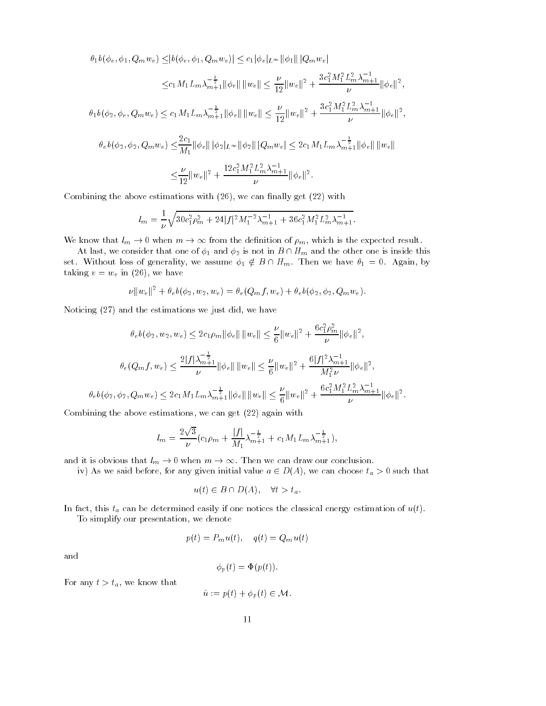$\theta_1 b(\phi_e, \phi_1, Q_m w_e) \leq |b(\phi_e, \phi_1, Q_m w_e)| \leq c_1 |\phi_e|_{L^{\infty}} ||\phi_1|| \, |Q_m w_e|$ 

$$
\epsilon) \leq |\theta(\varphi_e, \varphi_1, Q_m w_e)| \leq c_1 |\varphi_e| L^{\infty} ||\varphi_1|| |Q_m w_e|
$$
  

$$
\leq c_1 M_1 L_m \lambda_{m+1}^{-\frac{1}{2}} ||\varphi_e|| ||w_e|| \leq \frac{\nu}{12} ||w_e||^2 + \frac{3c_1^2 M_1^2 L_m^2 \lambda_{m+1}^{-1}}{\nu} ||\varphi_e||^2,
$$

 $\theta_1 b(\phi_2, \phi_e, Q_m w_e) \leq c_1 M_1 L_m \lambda_{m+1}^{-\frac{1}{2}} \|\phi_e\| \|w_e\| \leq \frac{\nu}{12} \|w_e\|^2 + \frac{3c_1^2 M_1^2 L_m^2 \lambda_{m+1}^{-1}}{\nu} \|\phi_e\|$  $\begin{array}{l} \left( \phi_2, \phi_e, Q_m w_e \right) \leq c_1 M_1 L_m \lambda_{m+1}^{-\frac{1}{2}} \|\phi_e\| \, \|w_e\| \leq \frac{1}{12} \|w_e\|^2 + \frac{1}{2} \frac{1}{\nu} \frac{1}{\nu} \|w_e\|^2, \[10pt] \theta_e b(\phi_2, \phi_2, Q_m w_e) \leq \frac{2c_1}{12} \|\phi_e\| \, \|\phi_2\|_{L^\infty} \|\phi_2\| \, |Q_m w_e| \leq 2c_1 M_1 L_m \lambda_{m+1}^{-\frac{1}{2}} \|\phi_e$ 

$$
\begin{split} \theta_{e}b(\phi_{2},\phi_{2},Q_{m}w_{e}) &\leq & \frac{2c_{1}}{M_{1}}\|\phi_{e}\| \|\phi_{2}\|_{L^{\infty}}\|\phi_{2}\| \, |Q_{m}w_{e}| \leq 2c_{1}M_{1}L_{m}\lambda_{m+1}^{-\frac{1}{2}}\|\phi_{e}\| \, \|w_{e}\| \\ &\leq & \frac{\nu}{12}\|w_{e}\|^{2}+\frac{12c_{1}^{2}M_{1}^{2}L_{m}^{2}\lambda_{m+1}^{-1}}{\nu}\|\phi_{e}\|^{2} . \end{split}
$$

committee above estimations with  $\mathbf{r} = \mathbf{r}$  , we can nature  $\mathbf{r} = \mathbf{r}$  with  $\mathbf{r} = \mathbf{r}$ 

$$
l_m = \frac{1}{\nu} \sqrt{30c_1^2 \rho_m^2 + 24|f|^2 M_1^{-2} \lambda_{m+1}^{-1} + 36c_1^2 M_1^2 L_m^2 \lambda_{m+1}^{-1}}.
$$
  
We know that  $l_m \to 0$  when  $m \to \infty$  from the definition of  $\rho_m$ , which is the expected result.

At last, we consider that one of  $\phi_1$  and  $\phi_2$  is not in  $B \cap H_m$  and the other one is inside this set. Without loss of generality, we assume  $\phi_1 \notin B \cap H_m$ . Then we have  $\theta_1 = 0$ . Again, by taking v we have developed the second version of  $\mathcal{A}$ 

$$
\nu ||w_e||^2 + \theta_e b(\phi_2, w_2, w_e) = \theta_e (Q_m f, w_e) + \theta_e b(\phi_2, \phi_2, Q_m w_e).
$$

Noticing (2*t*) and the estimations we just did, we have  
\n
$$
\theta_e b(\phi_2, w_2, w_e) \le 2c_1 \rho_m \|\phi_e\| \|w_e\| \le \frac{\nu}{6} \|w_e\|^2 + \frac{6c_1^2 \rho_m^2}{\nu} \|\phi_e\|^2,
$$
\n
$$
\theta_e(Q_m f, w_e) \le \frac{2|f|\lambda_{m+1}^{-\frac{1}{2}}}{\nu} \|\phi_e\| \|w_e\| \le \frac{\nu}{6} \|w_e\|^2 + \frac{6|f|^2 \lambda_{m+1}^{-1}}{M_1^2 \nu} \|\phi_e\|^2,
$$
\n
$$
\theta_e b(\phi_2, \phi_2, Q_m w_e) \le 2c_1 M_1 L_m \lambda_{m+1}^{-\frac{1}{2}} \|\phi_e\| \|w_e\| \le \frac{\nu}{6} \|w_e\|^2 + \frac{6c_1^2 M_1^2 L_m^2 \lambda_{m+1}^{-1}}{\nu} \|\phi_e\|^2.
$$

committee we can also estimated with the get  $\alpha = \alpha$  against the canonical with  $\alpha$ 

$$
l_m = \frac{2\sqrt{3}}{\nu} (c_1 \rho_m + \frac{|f|}{M_1} \lambda_{m+1}^{-\frac{1}{2}} + c_1 M_1 L_m \lambda_{m+1}^{-\frac{1}{2}}),
$$

and it is obvious that  $l_m \to 0$  when  $m \to \infty$ . Then we can draw our conclusion.

iv) As we said before, for any given initial value  $a \in D(A)$ , we can choose  $t_a > 0$  such that

$$
u(t) \in B \cap D(A), \quad \forall t > t_a.
$$

In this tag can be determined easily if one notices the classical energy estimation of utility if  $\alpha$ 

To simplify our presentation-between the control of the control of the control of the control of the control of

$$
p(t) = P_m u(t), \quad q(t) = Q_m u(t)
$$

and

$$
\phi_p(t) = \Phi(p(t)).
$$

- -- we you have to construct the second second that the second second second that  $\mathcal{F}_t$ 

$$
\varphi_p(t) = \Psi(p(t)).
$$
  

$$
\hat{u} := p(t) + \phi_p(t) \in \mathcal{M}.
$$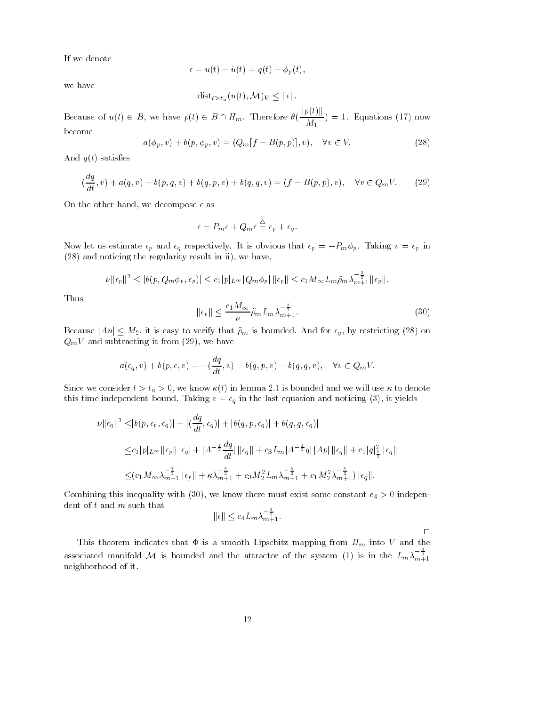If we denote

$$
\epsilon = u(t) - \hat{u}(t) = q(t) - \phi_p(t),
$$

we have

$$
u(t) - u(t) = q(t) - \varphi_p(t),
$$
  

$$
dist_{t > t_a}(u(t), \mathcal{M})_V \le ||\epsilon||.
$$

Because of  $u(t) \in B$ , we have  $p(t) \in B \cap H_m$ . Therefore  $\theta(\frac{\|p(t)\|}{\|t\|}) = 1$ . Equations (17) now Mbecome

$$
a(\phi_p, v) + b(p, \phi_p, v) = (Q_m[f - B(p, p)], v), \quad \forall v \in V.
$$
 (28)

And  $q(t)$  satisfies

$$
(\frac{dq}{dt}, v) + a(q, v) + b(p, q, v) + b(q, p, v) + b(q, q, v) = (f - B(p, p), v), \quad \forall v \in Q_m V.
$$
 (29)

ve decompose the other hand-

$$
\epsilon = P_m \epsilon + Q_m \epsilon \stackrel{\triangle}{=} \epsilon_p + \epsilon_q.
$$

Now let us estimate  $\epsilon_p$  and  $\epsilon_q$  respectively. It is obvious that  $\epsilon_p = -P_m\phi_p$ . Taking  $v = \epsilon_p$  in

(28) and noticing the regularity result in ii), we have,  
\n
$$
\nu ||\epsilon_p||^2 \le |b(p, Q_m \phi_p, \epsilon_p)| \le c_1 |p|_{L^{\infty}} |Q_m \phi_p| ||\epsilon_p|| \le c_1 M_{\infty} L_m \tilde{\rho}_m \lambda_{m+1}^{-\frac{3}{2}} ||\epsilon_p||.
$$

Thus

Thus  
\n
$$
\|\epsilon_p\| \le \frac{c_1 M_\infty}{\nu} \tilde{\rho}_m L_m \lambda_{m+1}^{-\frac{3}{2}}.
$$
\n(30)  
\nBecause  $|Au| < M_2$ , it is easy to verify that  $\tilde{\rho}_m$  is bounded. And for  $\epsilon_q$ , by restricting (28) on

 $\sim$  we have the subtraction in the subtraction in the subtraction in the subtraction of  $\sim$ 

$$
a(\epsilon_q, v) + b(p, \epsilon, v) = -(\frac{dq}{dt}, v) - b(q, p, v) - b(q, q, v), \quad \forall v \in Q_m V.
$$

where we consider the space  $\mathcal{S}$  is the constant  $\mathcal{S}$  in the second and we will use with the second second this time independent bound Taking v  $\alpha$  is the last equation and noticing  $\alpha$  is yields.

$$
\nu ||\epsilon_{q}||^{2} \leq |b(p, \epsilon_{p}, \epsilon_{q})| + |(\frac{dq}{dt}, \epsilon_{q})| + |b(q, p, \epsilon_{q})| + b(q, q, \epsilon_{q})|
$$
  

$$
\leq c_{1}|p|_{L^{\infty}}||\epsilon_{p}|| |\epsilon_{q}| + |A^{-\frac{1}{2}}\frac{dq}{dt}|||\epsilon_{q}|| + c_{3}L_{m}|A^{-\frac{1}{2}}q||Ap||\epsilon_{q}|| + c_{1}|q|_{\frac{1}{2}}^{2}||\epsilon_{q}||
$$
  

$$
\leq (c_{1}M_{\infty}\lambda_{m+1}^{-\frac{1}{2}}||\epsilon_{p}|| + \kappa\lambda_{m+1}^{-\frac{3}{2}} + c_{3}M_{2}^{2}L_{m}\lambda_{m+1}^{-\frac{3}{2}} + c_{1}M_{2}^{2}\lambda_{m+1}^{-\frac{3}{2}})||\epsilon_{q}||.
$$

Combining this inequality with - we know there must exist some constant c indepen dent of t and m such that we know there must<br> $||\epsilon|| < c_4 L_m \lambda_{m+1}^{-\frac{3}{2}}.$ 

$$
\|\epsilon\| \le c_4 L_m \lambda_{m+1}^{-\frac{3}{2}}
$$

 $\Box$ 

This theorem indicates that  $\Phi$  is a smooth Lipschitz mapping from  $H_m$  into V and the associated manifold M is bounded and the attractor of the system (1) is in the  $L_m \lambda_{m+1}^{-\frac{1}{2}}$ neighborhood of it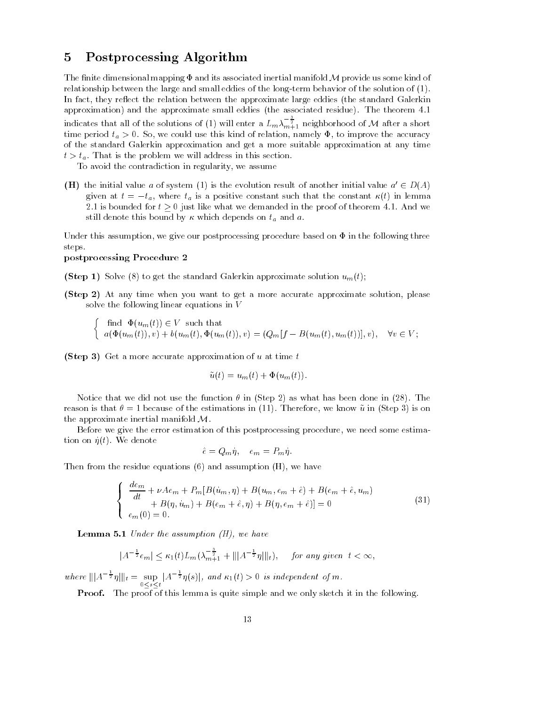# Postprocessing Algorithm

The finite dimensional mapping  $\Phi$  and its associated inertial manifold M provide us some kind of relationship between the large and small eddies of the long-term behavior of the solution of  $(1)$ . In fact- they re ect the relation between the approximate large eddies the standard Galerkin approximation) and the approximate small eddies (the associated residue). The theorem  $4.1$ indicates that all of the solutions of (1) will enter a  $L_m \lambda_{m+1}^{-\frac{1}{2}}$  neighborhood of  ${\cal M}$  after a short time period ta So-accuracy this kind of relation-term and relation-terms and relation-terms and relation-terms and of the standard Galerkin approximation and get a more suitable approximation at any time  $t > t_a$ . That is the problem we will address in this section.

to a contradiction in regularity and the contradiction in regularity of the contradiction of the contradiction of the contradiction of the contradiction of the contradiction of the contradiction of the contradiction of the

**(H)** the initial value a of system (1) is the evolution result of another initial value  $a' \in D(A)$ given at  $t = -t_a$ , where  $t_a$  is a positive constant such that the constant  $\kappa(t)$  in lemma 2.1 is bounded for  $t > 0$  just like what we demanded in the proof of theorem 4.1. And we still denote this bound by  $\kappa$  which depends on  $t_a$  and  $a$ .

Under this assumption- we give our postprocessing procedure based on in the following three steps

### postprocessing Procedure 2

**(Step 1)** Solve (8) to get the standard Galerkin approximate solution  $u_m(t)$ ;

Step - At any time when you want to get a more accurate approximate solution- please solve the following linear equations in V

 $\int$  find  $\Phi(u_m(t)) \in V$  such that  $a(\Phi(u_m(t)), v) + b(u_m(t), \Phi(u_m(t)), v) = (Q_m[f - B(u_m(t), u_m(t))], v), \quad \forall v \in V;$ 

(Step 3) Get a more accurate approximation of  $u$  at time  $t$ 

$$
\tilde{u}(t) = u_m(t) + \Phi(u_m(t)).
$$

Notice that we did not use the function  $\theta$  in (Step 2) as what has been done in (28). The reason is that because of the estimations in Therefore- we know u in Step is on the approximate inertial manifold  $M$ .

Before we give the error estimation of this postprocessing procedure- we need some estima tion on  $\eta(t)$ . We denote

$$
\hat{e} = Q_m \eta, \quad e_m = P_m \eta.
$$

The from the residue equations  $\{ \cdot \}$  and assumption  $\{ \cdot \}$  as  $\{ \cdot \}$ 

$$
\begin{cases}\n\frac{de_m}{dt} + \nu A e_m + P_m[B(u_m, \eta) + B(u_m, e_m + \hat{e}) + B(e_m + \hat{e}, u_m) \\
+ B(\eta, u_m) + B(e_m + \hat{e}, \eta) + B(\eta, e_m + \hat{e})] = 0 \\
e_m(0) = 0.\n\end{cases}
$$
\n(31)

**Lemma 5.1** Under the assumption (H), we have  

$$
|A^{-\frac{1}{2}}e_m| \leq \kappa_1(t)L_m(\lambda_{m+1}^{-\frac{3}{2}} + |||A^{-\frac{1}{2}}\eta||_t), \quad \text{for any given } t < \infty,
$$

where  $\|A^{-\frac{1}{2}}\eta\|_{t} = \sup_{0 \le s \le t} |A|$  $|A^{-\frac{1}{2}}\eta(s)|$ , and  $\kappa_1(t) > 0$  is independent of m.

Proof The proof of this lemma is quite simple and we only sketch it in the following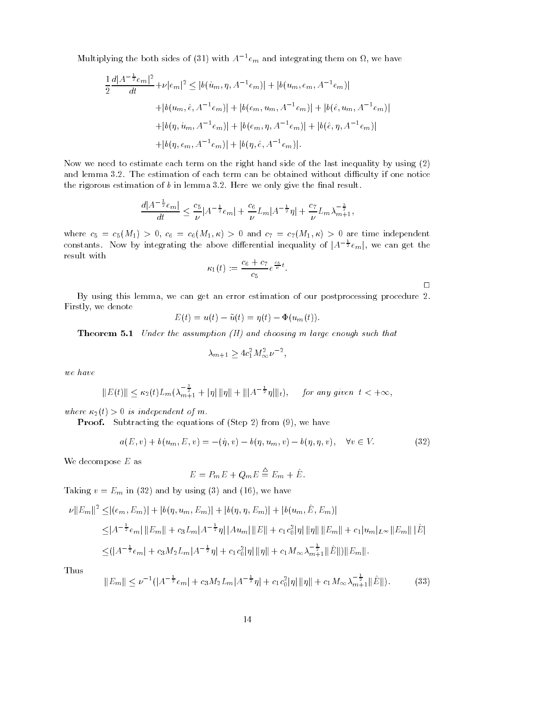Multiplying the both sides of (31) with 
$$
A^{-1}e_m
$$
 and integrating them on  $\Omega$ , we have  
\n
$$
\frac{1}{2} \frac{d|A^{-\frac{1}{2}}e_m|^2}{dt} + \nu|e_m|^2 \leq |b(u_m, \eta, A^{-1}e_m)| + |b(u_m, e_m, A^{-1}e_m)|
$$
\n
$$
+ |b(u_m, \hat{e}, A^{-1}e_m)| + |b(e_m, u_m, A^{-1}e_m)| + |b(\hat{e}, u_m, A^{-1}e_m)|
$$
\n
$$
+ |b(\eta, u_m, A^{-1}e_m)| + |b(e_m, \eta, A^{-1}e_m)| + |b(\hat{e}, \eta, A^{-1}e_m)|
$$
\n
$$
+ |b(\eta, e_m, A^{-1}e_m)| + |b(\eta, \hat{e}, A^{-1}e_m)|.
$$

Now we need to estimate each term on the right hand side of the last inequality by using (2) and lemma 3.2. The estimation of each term can be obtained without difficulty if one notice the rigorous estimation of  $b$  in lemma 3.2. Here we only give the final result.

$$
\frac{d|A^{-\frac{1}{2}}e_m|}{dt} \le \frac{c_5}{\nu}|A^{-\frac{1}{2}}e_m| + \frac{c_6}{\nu}L_m|A^{-\frac{1}{2}}\eta| + \frac{c_7}{\nu}L_m\lambda_{m+1}^{-\frac{3}{2}},
$$

where consider the contract of the contract of the contract of the contract of the contract of the contract of constants. Now by integrating the above differential inequality of  $|A^{-\frac{1}{2}}e_m|$ , we can get the result with

$$
\kappa_1(t) := \frac{c_6 + c_7}{c_5} e^{\frac{c_5}{\nu} t}.
$$

 $\Box$ 

By using this lemma- we can get an error estimation of our postprocessing procedure Firstly- we denote

$$
E(t) = u(t) - \tilde{u}(t) = \eta(t) - \Phi(u_m(t)).
$$

Theorem  $U$  and choosing must must be assumption of the assumption  $U$  and choosing must be assumption of the assumption of the assumption of the assumption of the assumption of the assumption of the assumption of the ass

$$
\lambda_{m+1} \ge 4c_1^2 M_{\infty}^2 \nu^{-2},
$$

we have

$$
||E(t)|| \leq \kappa_2(t)L_m(\lambda_{m+1}^{-\frac{3}{2}} + |\eta| ||\eta|| + |||A^{-\frac{1}{2}}\eta||_t), \quad \text{for any given } t < +\infty,
$$

where  $\kappa_2(t) > 0$  is independent of m.

Proof Subtracting the equations of Step Proofs (VI) we have t

$$
a(E, v) + b(u_m, E, v) = -(\eta, v) - b(\eta, u_m, v) - b(\eta, \eta, v), \quad \forall v \in V.
$$
 (32)

We decompose  $E$  as

$$
E = P_m E + Q_m E \stackrel{\Delta}{=} E_m + \hat{E}.
$$

 $T$  and  $T$  in  $T$  in  $T$  in  $T$  in  $T$  in  $T$  in  $T$  in  $T$  in  $T$  in  $T$  in  $T$  in  $T$  in  $T$  in  $T$  in  $T$  in  $T$  in  $T$  in  $T$  in  $T$  in  $T$  in  $T$  in  $T$  in  $T$  in  $T$  in  $T$  in  $T$  in  $T$  in  $T$  in  $T$  in  $T$  in  $T$ 

$$
\nu ||E_m||^2 \leq |(e_m, E_m)| + |b(\eta, u_m, E_m)| + |b(\eta, \eta, E_m)| + |b(u_m, \hat{E}, E_m)|
$$
  
\n
$$
\leq |A^{-\frac{1}{2}}e_m| ||E_m|| + c_3 L_m|A^{-\frac{1}{2}}\eta| |Au_m| ||E|| + c_1 c_0^2 |\eta| ||\eta|| ||E_m|| + c_1 |u_m|_{L^{\infty}} ||E_m|| |\hat{E}|
$$
  
\n
$$
\leq (|A^{-\frac{1}{2}}e_m| + c_3 M_2 L_m|A^{-\frac{1}{2}}\eta| + c_1 c_0^2 |\eta| ||\eta|| + c_1 M_{\infty} \lambda_{m+1}^{-\frac{1}{2}} ||\hat{E}||) ||E_m||.
$$

Thus

$$
||E_m|| \leq \nu^{-1}(|A^{-\frac{1}{2}}e_m| + c_3M_2L_m|A^{-\frac{1}{2}}\eta| + c_1c_0^2|\eta| \|\eta\| + c_1M_\infty\lambda_{m+1}^{-\frac{1}{2}}\|\hat{E}\|.
$$
 (33)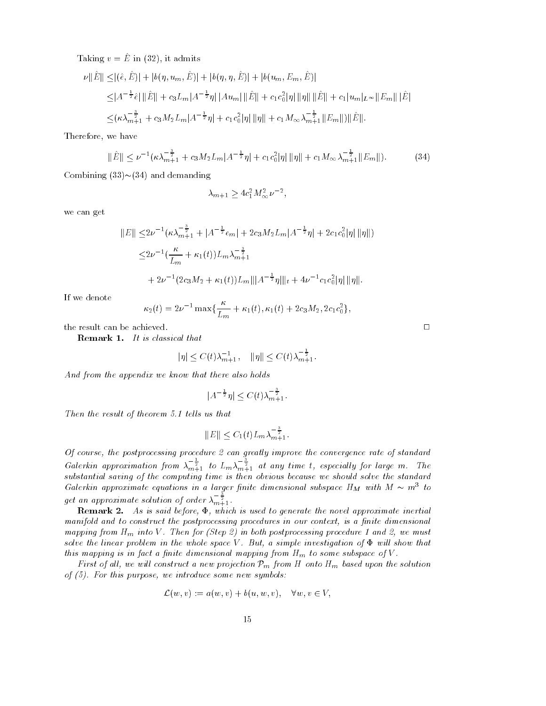$\lim_{\omega \to 0} v = E$  in  $\{\frac{\omega}{\omega}\}\$ , it admits

aking 
$$
v = \hat{E}
$$
 in (32), it admits

\n
$$
\nu \|\hat{E}\| \leq |(\hat{e}, \hat{E})| + |b(\eta, u_m, \hat{E})| + |b(\eta, \eta, \hat{E})| + |b(u_m, E_m, \hat{E})|
$$
\n
$$
\leq |A^{-\frac{1}{2}}\hat{e}| \|\hat{E}\| + c_3 L_m |A^{-\frac{1}{2}}\eta| |Au_m| \|\hat{E}\| + c_1 c_0^2 |\eta| \|\eta\| \|\hat{E}\| + c_1 |u_m| L^{\infty} \|E_m\| \|\hat{E}\|
$$
\n
$$
\leq (\kappa \lambda_{m+1}^{-\frac{3}{2}} + c_3 M_2 L_m |A^{-\frac{1}{2}}\eta| + c_1 c_0^2 |\eta| \|\eta\| + c_1 M_\infty \lambda_{m+1}^{-\frac{1}{2}} \|E_m\|) \|\hat{E}\|.
$$

Therefore, we have the control of the control of the control of the control of the control of the control of the control of the control of the control of the control of the control of the control of the control of the cont

we have  

$$
\|\hat{E}\| \le \nu^{-1} (\kappa \lambda_{m+1}^{-\frac{3}{2}} + c_3 M_2 L_m |A^{-\frac{1}{2}} \eta| + c_1 c_0^2 |\eta| \|\eta\| + c_1 M_\infty \lambda_{m+1}^{-\frac{1}{2}} \|E_m\|).
$$
 (34)

Combining  $(33) \sim (34)$  and demanding

$$
\lambda_{m+1} \ge 4c_1^2 M_{\infty}^2 \nu^{-2},
$$

we can get

$$
||E|| \leq 2\nu^{-1} (\kappa \lambda_{m+1}^{-\frac{3}{2}} + |A^{-\frac{1}{2}}e_m| + 2c_3 M_2 L_m |A^{-\frac{1}{2}}\eta| + 2c_1 c_0^2 |\eta| ||\eta||)
$$
  

$$
\leq 2\nu^{-1} \left(\frac{\kappa}{L_m} + \kappa_1(t)\right) L_m \lambda_{m+1}^{-\frac{3}{2}}
$$
  

$$
+ 2\nu^{-1} (2c_3 M_2 + \kappa_1(t)) L_m |||A^{-\frac{1}{2}}\eta|||_t + 4\nu^{-1} c_1 c_0^2 |\eta| ||\eta||.
$$

If we denote

$$
\kappa_2(t) = 2\nu^{-1} \max\{\frac{\kappa}{L_m} + \kappa_1(t), \kappa_1(t) + 2c_3 M_2, 2c_1 c_0^2\},\
$$

the result can be achieved.

al that  

$$
|\eta| \le C(t)\lambda_{m+1}^{-1}
$$
,  $||\eta|| \le C(t)\lambda_{m+1}^{-\frac{1}{2}}$ .

And from the appendix we know that there also holds

t there also holds  

$$
|A^{-\frac{1}{2}}\eta| \le C(t)\lambda_{m+1}^{-\frac{3}{2}}.
$$

Then the result of the result of the result of the result of the result of the result of the result of the result of the result of the result of the result of the result of the result of the result of the result of the re

us that  

$$
||E|| \leq C_1(t)L_m \lambda_{m+1}^{-\frac{3}{2}}.
$$

Of course, the postprocessing procedure 2 can greatly improve the convergence rate of standard Galerkin approximation from  $\lambda_{m+1}^{-\frac{1}{2}}$  to  $L_m \lambda_{m+1}^{-\frac{1}{2}}$  at any time t, especially for large m. The substantial saving of the computing time is then obvious because we should solve the standard Galerkin approximate equations in a larger finite dimensional subspace  $H_M$  with  $M \sim m^3$  to get an approximate solution of order  $\lambda_{m+1}^{-\frac{1}{2}}$ .

remark - As is said before the number of the norm is generated inertial spectrum intertions manifold and to construct the postprocessing procedures in our context, is a finite dimensional mapping from Hm into <sup>V</sup> Then for -Step in both postprocessing procedure and we must solve the linear problem in the whole space V. But, a simple investigation of  $\Phi$  will show that this mapping is in fact a finite dimensional mapping from  $H_m$  to some subspace of V.

First of all, we will construct a new projection  $\mathcal{P}_m$  from H onto  $H_m$  based upon the solution of - For this purpose we introduce some new symbols

$$
\mathcal{L}(w, v) := a(w, v) + b(u, w, v), \quad \forall w, v \in V,
$$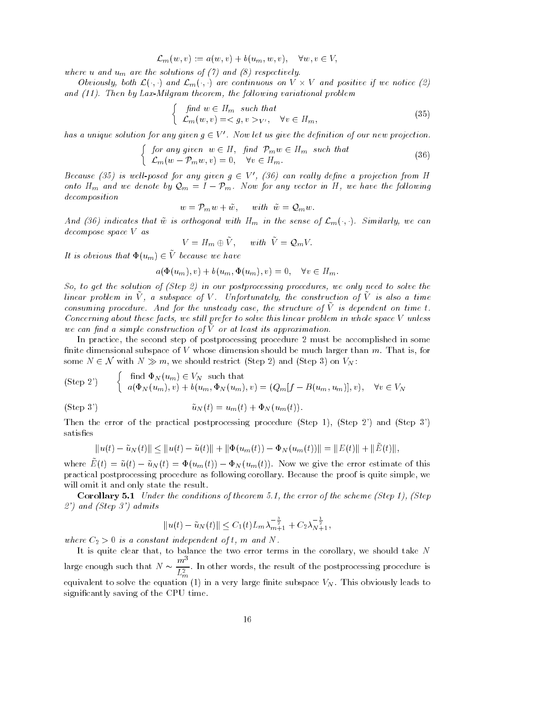$$
\mathcal{L}_m(w, v) := a(w, v) + b(u_m, w, v), \quad \forall w, v \in V,
$$

where using and understand under the solutions of  $\mathcal{A}$  and  $\mathcal{A}$  and  $\mathcal{A}$  and  $\mathcal{A}$ 

Obviously, both  $\mathcal{L}(\cdot, \cdot)$  and  $\mathcal{L}_m(\cdot, \cdot)$  are continuous on  $V \times V$  and positive if we notice (2) and - Then by LaxMilgram theorem the following variation variation variation variation variation variation vari

$$
\begin{cases} \text{ find } w \in H_m \text{ such that} \\ \mathcal{L}_m(w, v) = \langle g, v \rangle \langle v', \forall v \in H_m, \end{cases} \tag{35}
$$

has a unique solution for any given 
$$
g \in V'
$$
. Now let us give the definition of our new projection.  
\n
$$
\begin{cases}\nfor any given  $w \in H$ , find  $\mathcal{P}_m w \in H_m$  such that\n
$$
\mathcal{L}_m(w - \mathcal{P}_m w, v) = 0, \quad \forall v \in H_m.\n\end{cases}
$$
\n(36)
$$

Because (35) is well-posed for any given  $q \in V'$ , (36) can really define a projection from H onto  $H_m$  and we denote by  $\mathcal{Q}_m = I - \mathcal{P}_m$ . Now for any vector in H, we have the following decomposition

$$
w = \mathcal{P}_m w + \tilde{w}, \quad \text{with } \tilde{w} = \mathcal{Q}_m w.
$$

And (36) indicates that  $\tilde{w}$  is orthogonal with  $H_m$  in the sense of  $\mathcal{L}_m(\cdot, \cdot)$ . Similarly, we can decompose space V as

$$
V = H_m \oplus \tilde{V}, \quad \text{with} \quad \tilde{V} = \mathcal{Q}_m V.
$$

It is obvious that  $\Phi(u_m) \in V$  because we have

$$
a(\Phi(u_m), v) + b(u_m, \Phi(u_m), v) = 0, \quad \forall v \in H_m.
$$

So to get the solution of -Step in our postprocessing procedures we only need to solve the linear problem in  $\tilde{V}$ , a subspace of V. Unfortunately, the construction of  $\tilde{V}$  is also a time consuming procedure. And for the unsteady case, the structure of V is dependent on time t. Concerning about these facts, we still prefer to solve this linear problem in whole space  $V$  unless we can jina a simple construction of v or at least its approximation.

In practice- the second step of postprocessing procedure must be accomplished in some nite dimensional subspace of V whose dimensional and should be much larger than m That is - where is - is-In practice, the second step of postprocessing procedure 2 must be accomputed imensional subspace of V whose dimension should be much larger than some  $N \in \mathcal{N}$  with  $N \gg m$ , we should restrict (Step 2) and (Step 3) on

(Step 2') 
$$
\begin{cases} \text{find } \Phi_N(u_m) \in V_N \text{ such that} \\ a(\Phi_N(u_m), v) + b(u_m, \Phi_N(u_m), v) = (Q_m[f - B(u_m, u_m)], v), \quad \forall v \in V_N \end{cases}
$$

(Step 3') 
$$
\tilde{u}_N(t) = u_m(t) + \Phi_N(u_m(t)).
$$

Then the error of the procedure Step in the postprocessing procedure Step Step II is a step of the procedure S satisfies

$$
||u(t) - \tilde{u}_N(t)|| \le ||u(t) - \tilde{u}(t)|| + ||\Phi(u_m(t)) - \Phi_N(u_m(t))|| = ||E(t)|| + ||\tilde{E}(t)||,
$$

where  $\tilde{E}(t) = \tilde{u}(t) - \tilde{u}_N(t) = \Phi(u_m(t)) - \Phi_N(u_m(t))$ . Now we give the error estimate of this practical postprocessing procedure as following corollary Because the proof is quite simple- we will omit it and only state the result

Corollary Under the conditions of theorem the error of the scheme -Step -Step and the step of the step of the step of the step of the step of the step of the step of the step of the step o  $||u(t) - \tilde{u}_N(t)|| < C_1(t)$ 

$$
||u(t) - \tilde{u}_N(t)|| \leq C_1(t) L_m \lambda_{m+1}^{-\frac{3}{2}} + C_2 \lambda_{N+1}^{-\frac{1}{2}},
$$

where  $C_2 > 0$  is a constant independent of t, m and N.

. It is a to be the two error terms in the top the two errors in the corollary- the more discussed the  $\sim$ large enough such that  $N \sim \frac{m^2}{2}$ . I  $L_m^2$  , the postprocessing procedure is the postprocessing procedure is the postprocessing procedure is the postprocessing procedure in the postprocessing procedure is the postprocessing procedure in the postprocessing p equivalent to solve the equation (1) in a very large finite subspace  $V_N$ . This obviously leads to significantly saving of the CPU time.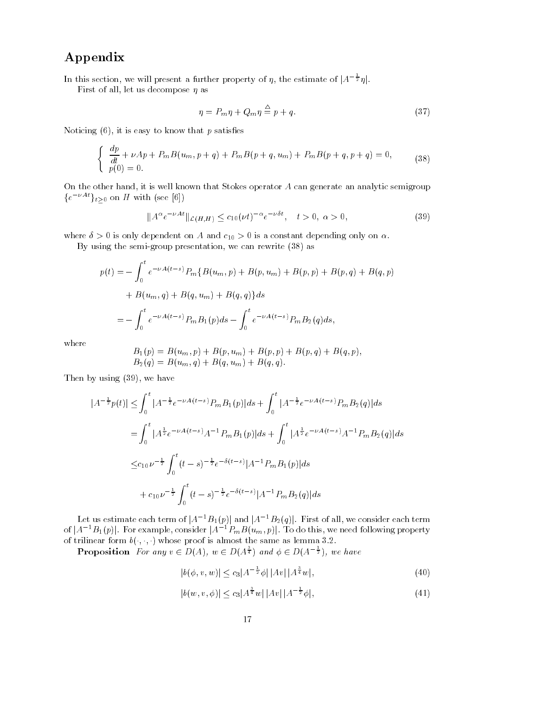# Appendix

In this section, we will present a further property of  $\eta$ , the estimate of  $|A^{-\frac{1}{2}}\eta|$ .

First of all- let us decompose as

$$
\eta = P_m \eta + Q_m \eta \stackrel{\triangle}{=} p + q. \tag{37}
$$

noticing  $\alpha$  is easy that  $\alpha$  is that is easy to the satisfaction

$$
\begin{cases} \frac{dp}{dt} + \nu A p + P_m B(u_m, p+q) + P_m B(p+q, u_m) + P_m B(p+q, p+q) = 0, \\ p(0) = 0. \end{cases}
$$
 (38)

On the other hand- it is well known that Stokes operator A can generate an analytic semigroup  $\{e^{-\nu At}\}_{t>0}$  on H with (see [6])

$$
||A^{\alpha}e^{-\nu At}||_{\mathcal{L}(H,H)} \leq c_{10}(\nu t)^{-\alpha}e^{-\nu \delta t}, \quad t > 0, \ \alpha > 0,
$$
\n(39)

where  $\sim$   $\sim$  0 cm and  $\sim$  -parameters on A and c-  $_{\rm H}$   $\sim$  0 cm as constant depending only one constant

By semigroup the semigroup presentation is the semi-collected as  $\mathbb{R}^n$ 

$$
p(t) = -\int_0^t e^{-\nu A(t-s)} P_m \{B(u_m, p) + B(p, u_m) + B(p, p) + B(p, q) + B(q, p) + B(u_m, q) + B(q, u_m) + B(q, q)\} ds
$$
  
= 
$$
-\int_0^t e^{-\nu A(t-s)} P_m B_1(p) ds - \int_0^t e^{-\nu A(t-s)} P_m B_2(q) ds,
$$

where

$$
B_1(p) = B(u_m, p) + B(p, u_m) + B(p, p) + B(p, q) + B(q, p),
$$
  
\n
$$
B_2(q) = B(u_m, q) + B(q, u_m) + B(q, q).
$$

Then by using (39), we have  
\n
$$
|A^{-\frac{1}{2}}p(t)| \leq \int_0^t |A^{-\frac{1}{2}}e^{-\nu A(t-s)}P_mB_1(p)|ds + \int_0^t |A^{-\frac{1}{2}}e^{-\nu A(t-s)}P_mB_2(q)|ds
$$
\n
$$
= \int_0^t |A^{\frac{1}{2}}e^{-\nu A(t-s)}A^{-1}P_mB_1(p)|ds + \int_0^t |A^{\frac{1}{2}}e^{-\nu A(t-s)}A^{-1}P_mB_2(q)|ds
$$
\n
$$
\leq c_{10}\nu^{-\frac{1}{2}}\int_0^t (t-s)^{-\frac{1}{2}}e^{-\delta(t-s)}|A^{-1}P_mB_1(p)|ds
$$
\n
$$
+ c_{10}\nu^{-\frac{1}{2}}\int_0^t (t-s)^{-\frac{1}{2}}e^{-\delta(t-s)}|A^{-1}P_mB_2(q)|ds
$$

Let us estimate each term of  $|A^{-1}B_1(p)|$  and  $|A^{-1}B_2(q)|$ . First of all, we consider each term of  $|A^{-1}B_1(p)|$ . For example, consider  $|A^{-1}P_mB(u_m, p)|$ . To do this, we need following property of trilinear form  $b(\cdot, \cdot)$  whose proof is almost the same as lemma 3.2.

**Proposition** For any  $v \in D(A)$ ,  $w \in D(A^{\frac{1}{4}})$  and  $\phi \in D(A^{-\frac{1}{2}})$ , we have A),  $w \in D(A^{\frac{3}{4}})$  and  $\phi \in D(A^{-\frac{1}{2}})$ <br>  $|v, w|| \le c_3 |A^{-\frac{1}{2}}\phi| |Av| |A^{\frac{3}{4}}w|$ 

$$
|b(\phi, v, w)| \leq c_3 |A^{-\frac{1}{2}}\phi| |Av| |A^{\frac{3}{4}}w|,
$$
  
\n
$$
|b(w, v, \phi)| < c_3 |A^{\frac{3}{4}}w| |Av| |A^{-\frac{1}{2}}\phi|,
$$
\n(41)

$$
|b(w, v, \phi)| \le c_3 |A^{\frac{3}{4}}w| |Av| |A^{-\frac{1}{2}}\phi|,\tag{41}
$$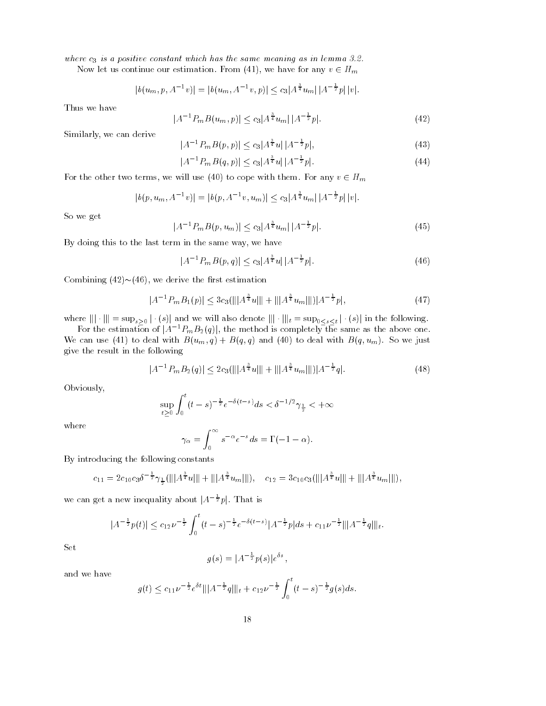where c<sub>o</sub> is a positive constant which has the same meaning as in lemma consta

Now let us continue our estimation. From (41), we have for any  $v \in H_m$ <br>  $|b(u_m, p, A^{-1}v)| = |b(u_m, A^{-1}v, p)| \le c_3 |A^{\frac{3}{4}}u_m||A^{-\frac{1}{2}}p||v|.$ 

$$
|b(u_m, p, A^{-1}v)| = |b(u_m, A^{-1}v, p)| \leq c_3 |A^{\frac{3}{4}}u_m| |A^{-\frac{1}{2}}p| |v|.
$$

Thus we have

$$
|A^{-1}P_mB(u_m, p)| \le c_3 |A^{\frac{3}{4}}u_m||A^{-\frac{1}{2}}p|.
$$
\n
$$
|A^{-1}P_mB(p, p)| \le c_3 |A^{\frac{3}{4}}u||A^{-\frac{1}{2}}p|.
$$
\n(42)

Similarly- we can derive

$$
|A^{-1}P_mB(p,p)| \leq c_3|A^{\frac{3}{4}}u||A^{-\frac{1}{2}}p|,
$$
\n
$$
|A^{-1}P_mB(q,p)| < c_3|A^{\frac{3}{4}}u||A^{-\frac{1}{2}}p|.
$$
\n(44)

$$
|A^{-1}P_mB(q,p)| \leq c_3|A^{\frac{3}{4}}u||A^{-\frac{1}{2}}p|.
$$
 (44)

For the other two terms, we will use (40) to cope with them. For any  $v \in H_m$ <br>  $|b(p, u_m, A^{-1}v)| = |b(p, A^{-1}v, u_m)| \le c_3 |A^{\frac{3}{4}}u_m||A^{-\frac{1}{2}}p||v|.$ 

$$
|b(p, u_m, A^{-1}v)| = |b(p, A^{-1}v, u_m)| \leq c_3 |A^{\frac{3}{4}}u_m| |A^{-\frac{1}{2}}p| |v|.
$$

So we get

$$
|A^{-1}P_m B(p, u_m)| \le c_3 |A^{\frac{3}{4}} u_m| |A^{-\frac{1}{2}} p|.
$$
 (45)

By doing this to the last term in the same way- we have

in the same way, we have  
\n
$$
|A^{-1}P_m B(p,q)| \le c_3 |A^{\frac{3}{4}} u| |A^{-\frac{1}{2}} p|.
$$
\n(46)

Combining  $(42) \sim (46)$ , we derive the first estimation

Combining (42)~(46), we derive the first estimation  
\n
$$
|A^{-1}P_mB_1(p)| \leq 3c_3(|||A^{\frac{3}{4}}u|| + |||A^{\frac{3}{4}}u_m||||)|A^{-\frac{1}{2}}p|,
$$
\n(47)  
\nwhere  $||| \cdot ||| = \sup_{s>0} |\cdot(s)|$  and we will also denote  $||| \cdot |||_t = \sup_{0 \leq s \leq t} |\cdot(s)|$  in the following.

 $(s)$  in the following.

For the estimation of  $|A^{-1}P_mB_2(q)|$ , the method is completely the same as the above one. We can use (41) to deal with  $B(u_m, q) + B(q, q)$  and (40) to deal with  $B(q, u_m)$ . So we just give the result in the following  $\begin{split} &\min_{P_m B_2(q)|< 2c_3 (\||A^{\frac{3}{4}}u|\| \,. \end{split}$ 

$$
|A^{-1}P_m B_2(q)| \le 2c_3(|||A^{\frac{3}{4}}u|| + |||A^{\frac{3}{4}}u_m|| |||A^{-\frac{1}{2}}q|.
$$
 (48)

Obviously-

$$
\sup_{t \ge 0} \int_0^t (t - s)^{-\frac{1}{2}} e^{-\delta(t - s)} ds < \delta^{-1/2} \gamma_{\frac{1}{2}} < +\infty
$$

where

$$
\gamma_{\alpha} = \int_0^{\infty} s^{-\alpha} e^{-s} ds = \Gamma(-1 - \alpha).
$$

By introducing the following constants

$$
c_{11} = 2c_{10}c_3\delta^{-\frac{1}{2}}\gamma_{\frac{1}{2}}(|||A^{\frac{3}{4}}u||| + |||A^{\frac{3}{4}}u_m|||), \quad c_{12} = 3c_{10}c_3(|||A^{\frac{3}{4}}u||| + |||A^{\frac{3}{4}}u_m|||),
$$

we can get a new inequality about 
$$
|A^{-\frac{1}{2}}p|
$$
. That is  
\n
$$
|A^{-\frac{1}{2}}p(t)| \leq c_{12}\nu^{-\frac{1}{2}} \int_0^t (t-s)^{-\frac{1}{2}} e^{-\delta(t-s)} |A^{-\frac{1}{2}}p| ds + c_{11}\nu^{-\frac{1}{2}} |||A^{-\frac{1}{2}}q|||_{t}.
$$

Set

$$
g(s) = |A^{-\frac{1}{2}}p(s)|e^{\delta s},
$$

and we have

$$
g(t) \leq c_{11} \nu^{-\frac{1}{2}} e^{\delta t} |||A^{-\frac{1}{2}} q|||_{t} + c_{12} \nu^{-\frac{1}{2}} \int_{0}^{t} (t-s)^{-\frac{1}{2}} g(s) ds.
$$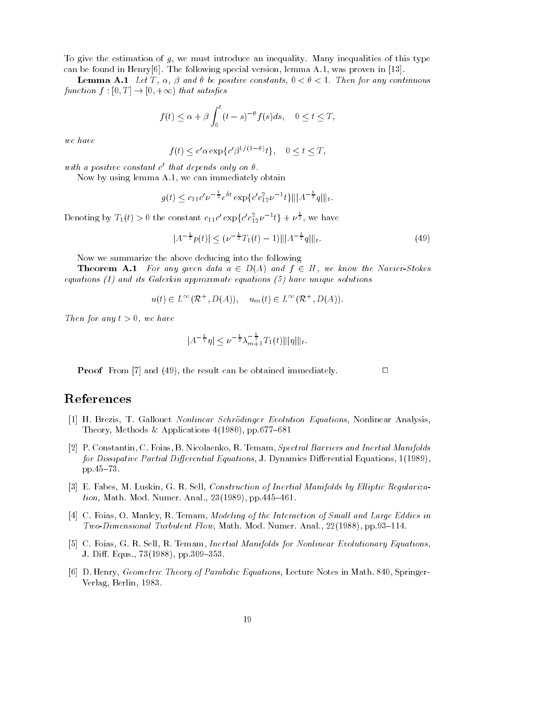To give the estimation of g- we must introduce an inequality Many inequalities of this type can be found in Henry pp. Henry special version-special version-special version-proven in property

**Lemma A.1** Let T,  $\alpha$ ,  $\beta$  and  $\theta$  be positive constants,  $0 < \theta < 1$ . Then for any continuous function  $f : [0, T] \to [0, +\infty)$  that satisfies

$$
f(t) \le \alpha + \beta \int_0^t (t - s)^{-\theta} f(s) ds, \quad 0 \le t \le T,
$$

we have

$$
f(t) \le c' \alpha \exp\{c' \beta^{1/(1-\theta)} t\}, \quad 0 \le t \le T,
$$

 $wun$  a positive constant c inat depends only on  $\sigma$ .

Now by using lemma A- we can immediately obtain

$$
g(t) \le c_{11}c'\nu^{-\frac{1}{2}}e^{\delta t} \exp\{c'c_{12}^2\nu^{-1}t\}\||A^{-\frac{1}{2}}q|\|_{t}.
$$

Denoting by  $T_1(t) > 0$  the constant  $c_{11}c' \exp\{c'c_{12}^2\nu^{-1}t\} + \nu^{\frac{1}{2}}$ , we have nt  $c_{11}c' \exp\{c'c\}$ <br> $p(t)| < (\nu^{-\frac{1}{2}}T_1)$ 

$$
|A^{-\frac{1}{2}}p(t)| \le (\nu^{-\frac{1}{2}}T_1(t) - 1) ||A^{-\frac{1}{2}}q||_t. \tag{49}
$$

 $\Box$ 

Now we summarize the above deducing into the following

**Theorem A.1** For any given data  $a \in D(A)$  and  $f \in H$ , we know the Navier-Stokes equations - and its Galerkin approximate equations - have unique solutions

$$
u(t) \in L^{\infty}(\mathcal{R}^+, D(A)), \quad u_m(t) \in L^{\infty}(\mathcal{R}^+, D(A)).
$$

Then for any  $t > 0$ , we have

$$
|A^{-\frac{1}{2}}\eta| \leq \nu^{-\frac{1}{2}}\lambda_{m+1}^{-\frac{1}{2}}T_1(t)\||\eta|\|_{t}.
$$

Proof From 
 and - the result can be obtained immediately

# References

- ist aan waarnig was strikken stationer in die stellinger waardelike waardelike aander analysis-<u> methods # Applications and Applications and Applications and Applications and Applications and Applications and Applications and Applications and Applications and Applications and Applications and Applications and Applic</u>
- P Constantin- C Foias- B Nicolaenko- R Temam- Spectral Barriers and Inertial Manifolds for Dissipative Partial Dierential Equations- J Dynamics Dierential Equations-  $pp.45-73$ .
- E Fabes- M Luskin- G R Sell- Construction of Inertial Manifolds by El liptic Regulariza tion- Math Mod Numer Anal- - pp\$
- C Foias- O Manley- R Temam- Modeling of the Interaction of Smal l and Large Eddies in TwoDimensional Turbulent Flow- Math Mod Numer Anal- - pp\$
- C Foias- G R Sell- R Temam- Inertial Manifolds for Nonlinear Evolutionary Equations-J Di Equs- - pp\$
- D Henry- Geometric Theory of Parabolic Equations- Lecture Notes in Math Springer Verlag- Berlin-